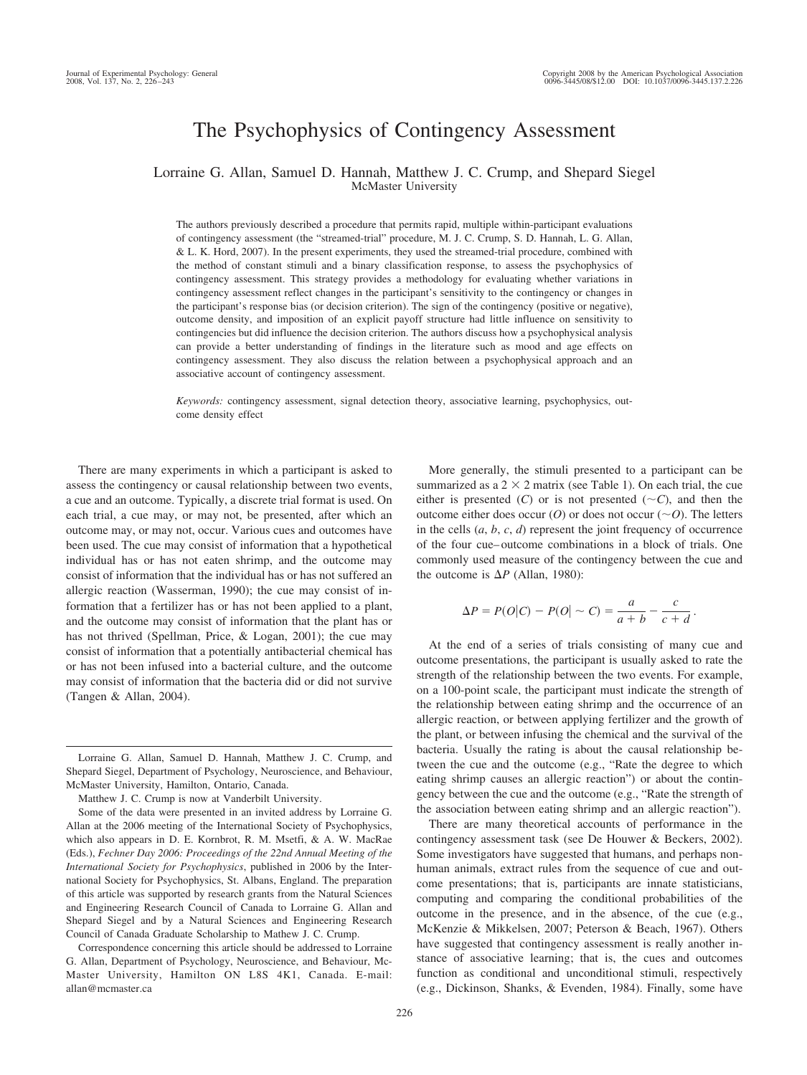# The Psychophysics of Contingency Assessment

Lorraine G. Allan, Samuel D. Hannah, Matthew J. C. Crump, and Shepard Siegel McMaster University

The authors previously described a procedure that permits rapid, multiple within-participant evaluations of contingency assessment (the "streamed-trial" procedure, M. J. C. Crump, S. D. Hannah, L. G. Allan, & L. K. Hord, 2007). In the present experiments, they used the streamed-trial procedure, combined with the method of constant stimuli and a binary classification response, to assess the psychophysics of contingency assessment. This strategy provides a methodology for evaluating whether variations in contingency assessment reflect changes in the participant's sensitivity to the contingency or changes in the participant's response bias (or decision criterion). The sign of the contingency (positive or negative), outcome density, and imposition of an explicit payoff structure had little influence on sensitivity to contingencies but did influence the decision criterion. The authors discuss how a psychophysical analysis can provide a better understanding of findings in the literature such as mood and age effects on contingency assessment. They also discuss the relation between a psychophysical approach and an associative account of contingency assessment.

*Keywords:* contingency assessment, signal detection theory, associative learning, psychophysics, outcome density effect

There are many experiments in which a participant is asked to assess the contingency or causal relationship between two events, a cue and an outcome. Typically, a discrete trial format is used. On each trial, a cue may, or may not, be presented, after which an outcome may, or may not, occur. Various cues and outcomes have been used. The cue may consist of information that a hypothetical individual has or has not eaten shrimp, and the outcome may consist of information that the individual has or has not suffered an allergic reaction (Wasserman, 1990); the cue may consist of information that a fertilizer has or has not been applied to a plant, and the outcome may consist of information that the plant has or has not thrived (Spellman, Price, & Logan, 2001); the cue may consist of information that a potentially antibacterial chemical has or has not been infused into a bacterial culture, and the outcome may consist of information that the bacteria did or did not survive (Tangen & Allan, 2004).

Matthew J. C. Crump is now at Vanderbilt University.

Some of the data were presented in an invited address by Lorraine G. Allan at the 2006 meeting of the International Society of Psychophysics, which also appears in D. E. Kornbrot, R. M. Msetfi, & A. W. MacRae (Eds.), *Fechner Day 2006: Proceedings of the 22nd Annual Meeting of the International Society for Psychophysics*, published in 2006 by the International Society for Psychophysics, St. Albans, England. The preparation of this article was supported by research grants from the Natural Sciences and Engineering Research Council of Canada to Lorraine G. Allan and Shepard Siegel and by a Natural Sciences and Engineering Research Council of Canada Graduate Scholarship to Mathew J. C. Crump.

Correspondence concerning this article should be addressed to Lorraine G. Allan, Department of Psychology, Neuroscience, and Behaviour, Mc-Master University, Hamilton ON L8S 4K1, Canada. E-mail: allan@mcmaster.ca

More generally, the stimuli presented to a participant can be summarized as a  $2 \times 2$  matrix (see Table 1). On each trial, the cue either is presented  $(C)$  or is not presented  $(\sim C)$ , and then the outcome either does occur ( $O$ ) or does not occur ( $\sim$ O). The letters in the cells  $(a, b, c, d)$  represent the joint frequency of occurrence of the four cue– outcome combinations in a block of trials. One commonly used measure of the contingency between the cue and the outcome is  $\Delta P$  (Allan, 1980):

$$
\Delta P = P(O|C) - P(O| \sim C) = \frac{a}{a+b} - \frac{c}{c+d}.
$$

At the end of a series of trials consisting of many cue and outcome presentations, the participant is usually asked to rate the strength of the relationship between the two events. For example, on a 100-point scale, the participant must indicate the strength of the relationship between eating shrimp and the occurrence of an allergic reaction, or between applying fertilizer and the growth of the plant, or between infusing the chemical and the survival of the bacteria. Usually the rating is about the causal relationship between the cue and the outcome (e.g., "Rate the degree to which eating shrimp causes an allergic reaction") or about the contingency between the cue and the outcome (e.g., "Rate the strength of the association between eating shrimp and an allergic reaction").

There are many theoretical accounts of performance in the contingency assessment task (see De Houwer & Beckers, 2002). Some investigators have suggested that humans, and perhaps nonhuman animals, extract rules from the sequence of cue and outcome presentations; that is, participants are innate statisticians, computing and comparing the conditional probabilities of the outcome in the presence, and in the absence, of the cue (e.g., McKenzie & Mikkelsen, 2007; Peterson & Beach, 1967). Others have suggested that contingency assessment is really another instance of associative learning; that is, the cues and outcomes function as conditional and unconditional stimuli, respectively (e.g., Dickinson, Shanks, & Evenden, 1984). Finally, some have

Lorraine G. Allan, Samuel D. Hannah, Matthew J. C. Crump, and Shepard Siegel, Department of Psychology, Neuroscience, and Behaviour, McMaster University, Hamilton, Ontario, Canada.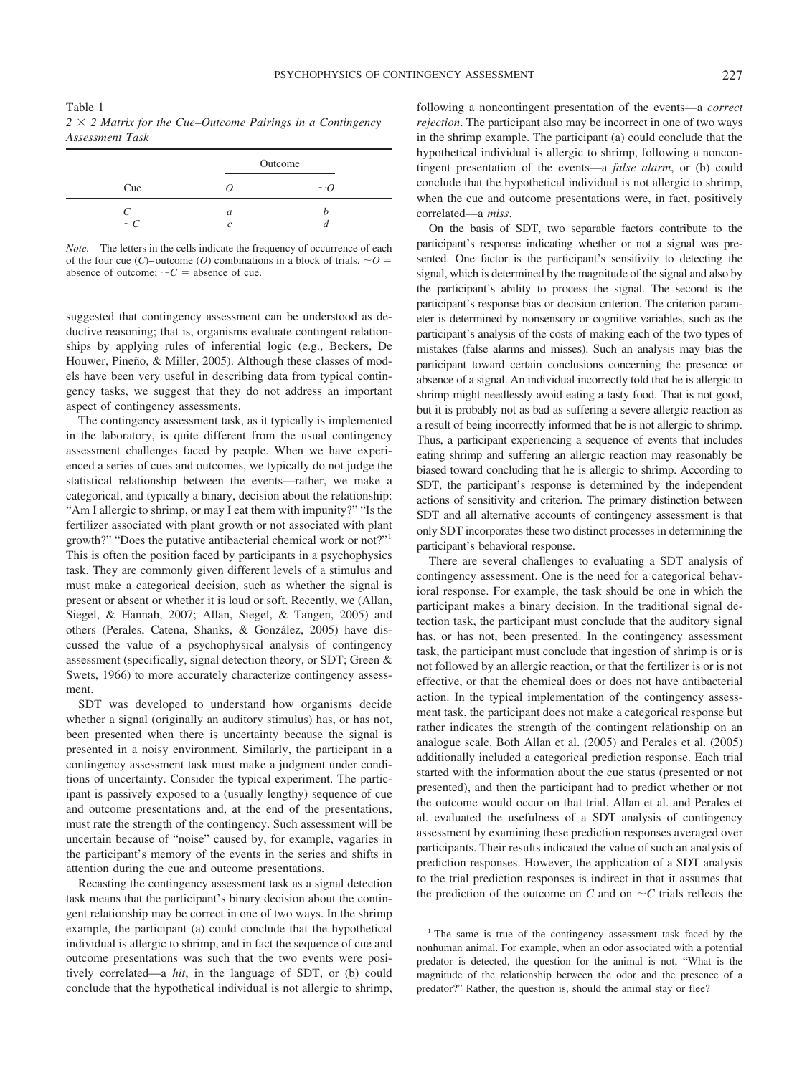Table 1  $2 \times 2$  *Matrix for the Cue–Outcome Pairings in a Contingency Assessment Task*

|          |        | Outcome       |
|----------|--------|---------------|
| Cue      |        | $\sim \Omega$ |
| $\sim$ C | a<br>⌒ |               |

*Note.* The letters in the cells indicate the frequency of occurrence of each of the four cue (*C*)– outcome (*O*) combinations in a block of trials.  $\sim$  *O* = absence of outcome;  $\sim C$  = absence of cue.

suggested that contingency assessment can be understood as deductive reasoning; that is, organisms evaluate contingent relationships by applying rules of inferential logic (e.g., Beckers, De Houwer, Pineño, & Miller, 2005). Although these classes of models have been very useful in describing data from typical contingency tasks, we suggest that they do not address an important aspect of contingency assessments.

The contingency assessment task, as it typically is implemented in the laboratory, is quite different from the usual contingency assessment challenges faced by people. When we have experienced a series of cues and outcomes, we typically do not judge the statistical relationship between the events—rather, we make a categorical, and typically a binary, decision about the relationship: "Am I allergic to shrimp, or may I eat them with impunity?" "Is the fertilizer associated with plant growth or not associated with plant growth?" "Does the putative antibacterial chemical work or not?"1 This is often the position faced by participants in a psychophysics task. They are commonly given different levels of a stimulus and must make a categorical decision, such as whether the signal is present or absent or whether it is loud or soft. Recently, we (Allan, Siegel, & Hannah, 2007; Allan, Siegel, & Tangen, 2005) and others (Perales, Catena, Shanks, & González, 2005) have discussed the value of a psychophysical analysis of contingency assessment (specifically, signal detection theory, or SDT; Green & Swets, 1966) to more accurately characterize contingency assessment.

SDT was developed to understand how organisms decide whether a signal (originally an auditory stimulus) has, or has not, been presented when there is uncertainty because the signal is presented in a noisy environment. Similarly, the participant in a contingency assessment task must make a judgment under conditions of uncertainty. Consider the typical experiment. The participant is passively exposed to a (usually lengthy) sequence of cue and outcome presentations and, at the end of the presentations, must rate the strength of the contingency. Such assessment will be uncertain because of "noise" caused by, for example, vagaries in the participant's memory of the events in the series and shifts in attention during the cue and outcome presentations.

Recasting the contingency assessment task as a signal detection task means that the participant's binary decision about the contingent relationship may be correct in one of two ways. In the shrimp example, the participant (a) could conclude that the hypothetical individual is allergic to shrimp, and in fact the sequence of cue and outcome presentations was such that the two events were positively correlated—a *hit*, in the language of SDT, or (b) could conclude that the hypothetical individual is not allergic to shrimp, following a noncontingent presentation of the events—a *correct rejection*. The participant also may be incorrect in one of two ways in the shrimp example. The participant (a) could conclude that the hypothetical individual is allergic to shrimp, following a noncontingent presentation of the events—a *false alarm*, or (b) could conclude that the hypothetical individual is not allergic to shrimp, when the cue and outcome presentations were, in fact, positively correlated—a *miss*.

On the basis of SDT, two separable factors contribute to the participant's response indicating whether or not a signal was presented. One factor is the participant's sensitivity to detecting the signal, which is determined by the magnitude of the signal and also by the participant's ability to process the signal. The second is the participant's response bias or decision criterion. The criterion parameter is determined by nonsensory or cognitive variables, such as the participant's analysis of the costs of making each of the two types of mistakes (false alarms and misses). Such an analysis may bias the participant toward certain conclusions concerning the presence or absence of a signal. An individual incorrectly told that he is allergic to shrimp might needlessly avoid eating a tasty food. That is not good, but it is probably not as bad as suffering a severe allergic reaction as a result of being incorrectly informed that he is not allergic to shrimp. Thus, a participant experiencing a sequence of events that includes eating shrimp and suffering an allergic reaction may reasonably be biased toward concluding that he is allergic to shrimp. According to SDT, the participant's response is determined by the independent actions of sensitivity and criterion. The primary distinction between SDT and all alternative accounts of contingency assessment is that only SDT incorporates these two distinct processes in determining the participant's behavioral response.

There are several challenges to evaluating a SDT analysis of contingency assessment. One is the need for a categorical behavioral response. For example, the task should be one in which the participant makes a binary decision. In the traditional signal detection task, the participant must conclude that the auditory signal has, or has not, been presented. In the contingency assessment task, the participant must conclude that ingestion of shrimp is or is not followed by an allergic reaction, or that the fertilizer is or is not effective, or that the chemical does or does not have antibacterial action. In the typical implementation of the contingency assessment task, the participant does not make a categorical response but rather indicates the strength of the contingent relationship on an analogue scale. Both Allan et al. (2005) and Perales et al. (2005) additionally included a categorical prediction response. Each trial started with the information about the cue status (presented or not presented), and then the participant had to predict whether or not the outcome would occur on that trial. Allan et al. and Perales et al. evaluated the usefulness of a SDT analysis of contingency assessment by examining these prediction responses averaged over participants. Their results indicated the value of such an analysis of prediction responses. However, the application of a SDT analysis to the trial prediction responses is indirect in that it assumes that the prediction of the outcome on *C* and on  $\sim$  *C* trials reflects the

<sup>&</sup>lt;sup>1</sup> The same is true of the contingency assessment task faced by the nonhuman animal. For example, when an odor associated with a potential predator is detected, the question for the animal is not, "What is the magnitude of the relationship between the odor and the presence of a predator?" Rather, the question is, should the animal stay or flee?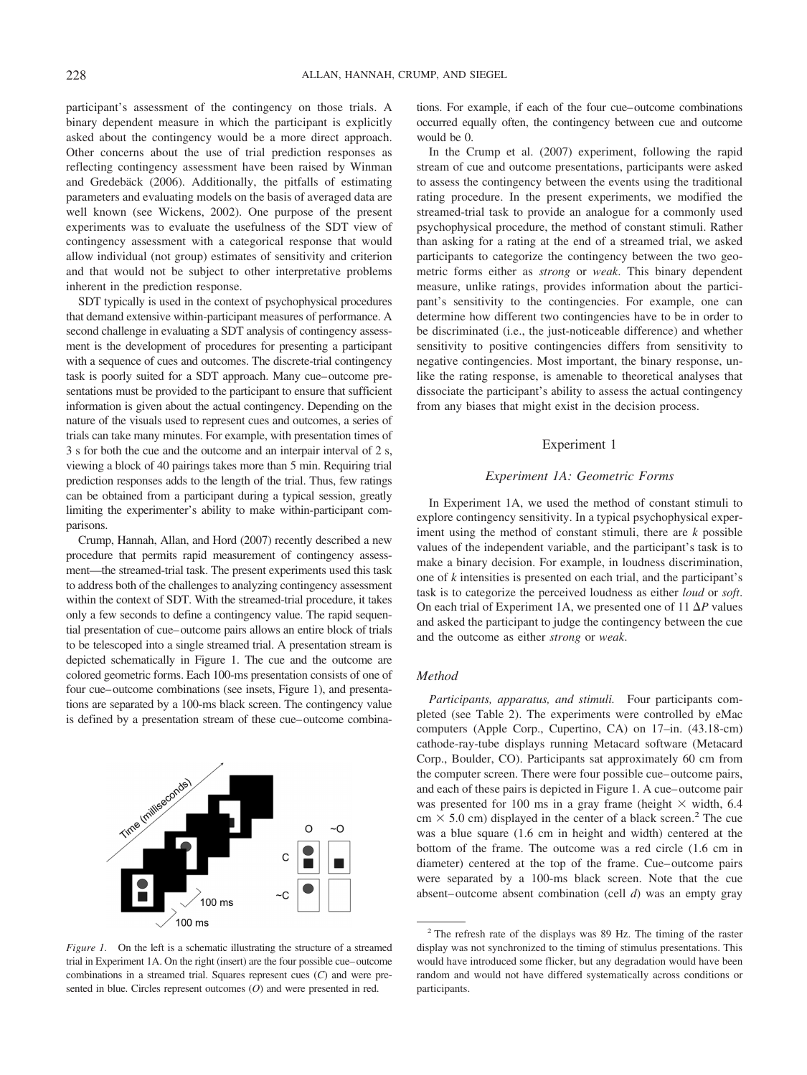participant's assessment of the contingency on those trials. A binary dependent measure in which the participant is explicitly asked about the contingency would be a more direct approach. Other concerns about the use of trial prediction responses as reflecting contingency assessment have been raised by Winman and Gredebäck (2006). Additionally, the pitfalls of estimating parameters and evaluating models on the basis of averaged data are well known (see Wickens, 2002). One purpose of the present experiments was to evaluate the usefulness of the SDT view of contingency assessment with a categorical response that would allow individual (not group) estimates of sensitivity and criterion and that would not be subject to other interpretative problems inherent in the prediction response.

SDT typically is used in the context of psychophysical procedures that demand extensive within-participant measures of performance. A second challenge in evaluating a SDT analysis of contingency assessment is the development of procedures for presenting a participant with a sequence of cues and outcomes. The discrete-trial contingency task is poorly suited for a SDT approach. Many cue– outcome presentations must be provided to the participant to ensure that sufficient information is given about the actual contingency. Depending on the nature of the visuals used to represent cues and outcomes, a series of trials can take many minutes. For example, with presentation times of 3 s for both the cue and the outcome and an interpair interval of 2 s, viewing a block of 40 pairings takes more than 5 min. Requiring trial prediction responses adds to the length of the trial. Thus, few ratings can be obtained from a participant during a typical session, greatly limiting the experimenter's ability to make within-participant comparisons.

Crump, Hannah, Allan, and Hord (2007) recently described a new procedure that permits rapid measurement of contingency assessment—the streamed-trial task. The present experiments used this task to address both of the challenges to analyzing contingency assessment within the context of SDT. With the streamed-trial procedure, it takes only a few seconds to define a contingency value. The rapid sequential presentation of cue– outcome pairs allows an entire block of trials to be telescoped into a single streamed trial. A presentation stream is depicted schematically in Figure 1. The cue and the outcome are colored geometric forms. Each 100-ms presentation consists of one of four cue– outcome combinations (see insets, Figure 1), and presentations are separated by a 100-ms black screen. The contingency value is defined by a presentation stream of these cue– outcome combina-



*Figure 1.* On the left is a schematic illustrating the structure of a streamed trial in Experiment 1A. On the right (insert) are the four possible cue– outcome combinations in a streamed trial. Squares represent cues (*C*) and were presented in blue. Circles represent outcomes (*O*) and were presented in red.

tions. For example, if each of the four cue– outcome combinations occurred equally often, the contingency between cue and outcome would be 0.

In the Crump et al. (2007) experiment, following the rapid stream of cue and outcome presentations, participants were asked to assess the contingency between the events using the traditional rating procedure. In the present experiments, we modified the streamed-trial task to provide an analogue for a commonly used psychophysical procedure, the method of constant stimuli. Rather than asking for a rating at the end of a streamed trial, we asked participants to categorize the contingency between the two geometric forms either as *strong* or *weak*. This binary dependent measure, unlike ratings, provides information about the participant's sensitivity to the contingencies. For example, one can determine how different two contingencies have to be in order to be discriminated (i.e., the just-noticeable difference) and whether sensitivity to positive contingencies differs from sensitivity to negative contingencies. Most important, the binary response, unlike the rating response, is amenable to theoretical analyses that dissociate the participant's ability to assess the actual contingency from any biases that might exist in the decision process.

## Experiment 1

## *Experiment 1A: Geometric Forms*

In Experiment 1A, we used the method of constant stimuli to explore contingency sensitivity. In a typical psychophysical experiment using the method of constant stimuli, there are *k* possible values of the independent variable, and the participant's task is to make a binary decision. For example, in loudness discrimination, one of *k* intensities is presented on each trial, and the participant's task is to categorize the perceived loudness as either *loud* or *soft*. On each trial of Experiment 1A, we presented one of 11  $\Delta P$  values and asked the participant to judge the contingency between the cue and the outcome as either *strong* or *weak*.

## *Method*

*Participants, apparatus, and stimuli.* Four participants completed (see Table 2). The experiments were controlled by eMac computers (Apple Corp., Cupertino, CA) on 17–in. (43.18-cm) cathode-ray-tube displays running Metacard software (Metacard Corp., Boulder, CO). Participants sat approximately 60 cm from the computer screen. There were four possible cue– outcome pairs, and each of these pairs is depicted in Figure 1. A cue– outcome pair was presented for 100 ms in a gray frame (height  $\times$  width, 6.4  $cm \times 5.0$  cm) displayed in the center of a black screen.<sup>2</sup> The cue was a blue square (1.6 cm in height and width) centered at the bottom of the frame. The outcome was a red circle (1.6 cm in diameter) centered at the top of the frame. Cue– outcome pairs were separated by a 100-ms black screen. Note that the cue absent– outcome absent combination (cell *d*) was an empty gray

<sup>2</sup> The refresh rate of the displays was 89 Hz. The timing of the raster display was not synchronized to the timing of stimulus presentations. This would have introduced some flicker, but any degradation would have been random and would not have differed systematically across conditions or participants.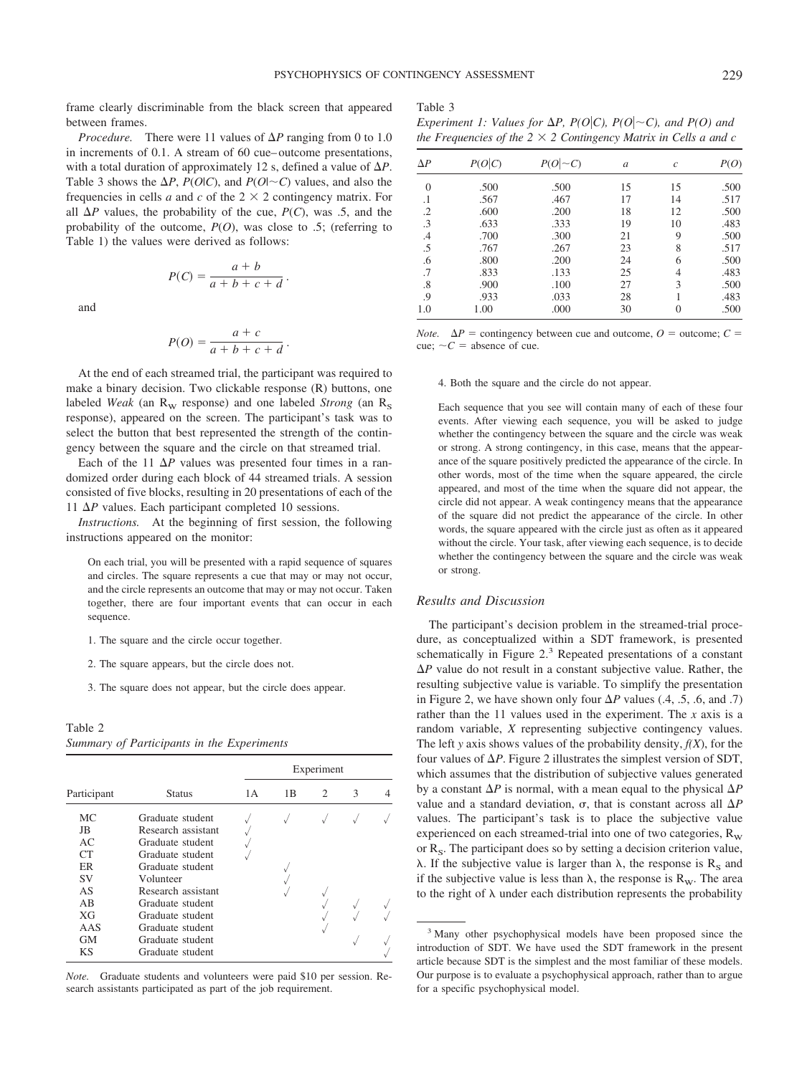Table 3

frame clearly discriminable from the black screen that appeared between frames.

*Procedure.* There were 11 values of  $\Delta P$  ranging from 0 to 1.0 in increments of 0.1. A stream of 60 cue– outcome presentations, with a total duration of approximately 12 s, defined a value of  $\Delta P$ . Table 3 shows the  $\Delta P$ , *P*(*O*|*C*), and *P*(*O*|~*C*) values, and also the frequencies in cells *a* and *c* of the  $2 \times 2$  contingency matrix. For all  $\Delta P$  values, the probability of the cue,  $P(C)$ , was .5, and the probability of the outcome,  $P(O)$ , was close to .5; (referring to Table 1) the values were derived as follows:

$$
P(C) = \frac{a+b}{a+b+c+d}.
$$

and

$$
P(O) = \frac{a+c}{a+b+c+d}.
$$

At the end of each streamed trial, the participant was required to make a binary decision. Two clickable response (R) buttons, one labeled *Weak* (an R<sub>W</sub> response) and one labeled *Strong* (an R<sub>S</sub> response), appeared on the screen. The participant's task was to select the button that best represented the strength of the contingency between the square and the circle on that streamed trial.

Each of the 11  $\Delta P$  values was presented four times in a randomized order during each block of 44 streamed trials. A session consisted of five blocks, resulting in 20 presentations of each of the 11  $\Delta P$  values. Each participant completed 10 sessions.

*Instructions.* At the beginning of first session, the following instructions appeared on the monitor:

On each trial, you will be presented with a rapid sequence of squares and circles. The square represents a cue that may or may not occur, and the circle represents an outcome that may or may not occur. Taken together, there are four important events that can occur in each sequence.

- 1. The square and the circle occur together.
- 2. The square appears, but the circle does not.
- 3. The square does not appear, but the circle does appear.

Table 2 *Summary of Participants in the Experiments*

|             |                    | Experiment |                |                |   |  |  |
|-------------|--------------------|------------|----------------|----------------|---|--|--|
| Participant | Status             | 1 A        | 1 <sub>B</sub> | $\mathfrak{D}$ | 3 |  |  |
| МC          | Graduate student   |            |                |                |   |  |  |
| JB          | Research assistant |            |                |                |   |  |  |
| AC          | Graduate student   |            |                |                |   |  |  |
| CТ          | Graduate student   |            |                |                |   |  |  |
| <b>FR</b>   | Graduate student   |            |                |                |   |  |  |
| <b>SV</b>   | Volunteer          |            |                |                |   |  |  |
| AS          | Research assistant |            |                |                |   |  |  |
| AB          | Graduate student   |            |                |                |   |  |  |
| XG          | Graduate student   |            |                |                |   |  |  |
| AAS         | Graduate student   |            |                |                |   |  |  |
| <b>GM</b>   | Graduate student   |            |                |                |   |  |  |
| <b>KS</b>   | Graduate student   |            |                |                |   |  |  |

*Note.* Graduate students and volunteers were paid \$10 per session. Research assistants participated as part of the job requirement.

| Experiment 1: Values for $\Delta P$ , $P(O C)$ , $P(O \sim C)$ , and $P(O)$ and |  |
|---------------------------------------------------------------------------------|--|
| the Frequencies of the $2 \times 2$ Contingency Matrix in Cells a and c         |  |
|                                                                                 |  |

| $\Delta P$      | P(O C) | $P(O \sim C)$ | $\mathfrak a$ | $\mathcal{C}$ | P(O) |
|-----------------|--------|---------------|---------------|---------------|------|
| $\overline{0}$  | .500   | .500          | 15            | 15            | .500 |
| $\cdot$         | .567   | .467          | 17            | 14            | .517 |
| $\cdot$ .2      | .600   | .200          | 18            | 12            | .500 |
| $\cdot$ 3       | .633   | .333          | 19            | 10            | .483 |
| .4              | .700   | .300          | 21            | 9             | .500 |
| $\overline{.5}$ | .767   | .267          | 23            | 8             | .517 |
| .6              | .800   | .200          | 24            | 6             | .500 |
| .7              | .833   | .133          | 25            | 4             | .483 |
| .8              | .900   | .100          | 27            | 3             | .500 |
| .9              | .933   | .033          | 28            |               | .483 |
| 1.0             | 1.00   | .000          | 30            |               | .500 |

*Note.*  $\Delta P$  = contingency between cue and outcome,  $O$  = outcome;  $C$  = cue;  $\sim C$  = absence of cue.

#### 4. Both the square and the circle do not appear.

Each sequence that you see will contain many of each of these four events. After viewing each sequence, you will be asked to judge whether the contingency between the square and the circle was weak or strong. A strong contingency, in this case, means that the appearance of the square positively predicted the appearance of the circle. In other words, most of the time when the square appeared, the circle appeared, and most of the time when the square did not appear, the circle did not appear. A weak contingency means that the appearance of the square did not predict the appearance of the circle. In other words, the square appeared with the circle just as often as it appeared without the circle. Your task, after viewing each sequence, is to decide whether the contingency between the square and the circle was weak or strong.

#### *Results and Discussion*

The participant's decision problem in the streamed-trial procedure, as conceptualized within a SDT framework, is presented schematically in Figure  $2<sup>3</sup>$  Repeated presentations of a constant  $\Delta P$  value do not result in a constant subjective value. Rather, the resulting subjective value is variable. To simplify the presentation in Figure 2, we have shown only four  $\Delta P$  values (.4, .5, .6, and .7) rather than the 11 values used in the experiment. The *x* axis is a random variable, *X* representing subjective contingency values. The left *y* axis shows values of the probability density,  $f(X)$ , for the four values of  $\Delta P$ . Figure 2 illustrates the simplest version of SDT, which assumes that the distribution of subjective values generated by a constant  $\Delta P$  is normal, with a mean equal to the physical  $\Delta P$ value and a standard deviation,  $\sigma$ , that is constant across all  $\Delta P$ values. The participant's task is to place the subjective value experienced on each streamed-trial into one of two categories,  $R_W$ or  $R_s$ . The participant does so by setting a decision criterion value,  $\lambda$ . If the subjective value is larger than  $\lambda$ , the response is R<sub>S</sub> and if the subjective value is less than  $\lambda$ , the response is R<sub>W</sub>. The area to the right of  $\lambda$  under each distribution represents the probability

<sup>3</sup> Many other psychophysical models have been proposed since the introduction of SDT. We have used the SDT framework in the present article because SDT is the simplest and the most familiar of these models. Our purpose is to evaluate a psychophysical approach, rather than to argue for a specific psychophysical model.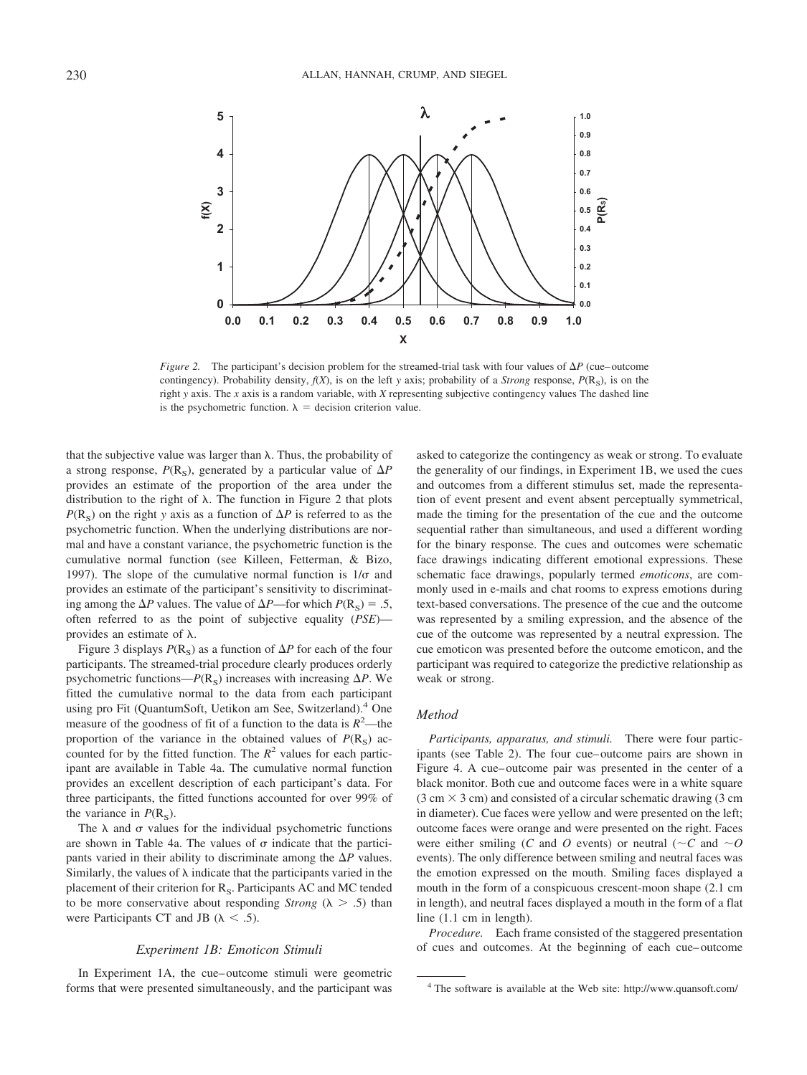

*Figure 2.* The participant's decision problem for the streamed-trial task with four values of  $\Delta P$  (cue–outcome contingency). Probability density,  $f(X)$ , is on the left *y* axis; probability of a *Strong* response,  $P(R_S)$ , is on the right *y* axis. The *x* axis is a random variable, with *X* representing subjective contingency values The dashed line is the psychometric function.  $\lambda$  = decision criterion value.

that the subjective value was larger than  $\lambda$ . Thus, the probability of a strong response,  $P(R_s)$ , generated by a particular value of  $\Delta P$ provides an estimate of the proportion of the area under the distribution to the right of  $\lambda$ . The function in Figure 2 that plots  $P(R<sub>S</sub>)$  on the right *y* axis as a function of  $\Delta P$  is referred to as the psychometric function. When the underlying distributions are normal and have a constant variance, the psychometric function is the cumulative normal function (see Killeen, Fetterman, & Bizo, 1997). The slope of the cumulative normal function is  $1/\sigma$  and provides an estimate of the participant's sensitivity to discriminating among the  $\Delta P$  values. The value of  $\Delta P$ —for which  $P(R_S) = .5$ , often referred to as the point of subjective equality (*PSE*) provides an estimate of  $\lambda$ .

Figure 3 displays  $P(R<sub>S</sub>)$  as a function of  $\Delta P$  for each of the four participants. The streamed-trial procedure clearly produces orderly psychometric functions— $P(R<sub>S</sub>)$  increases with increasing  $\Delta P$ . We fitted the cumulative normal to the data from each participant using pro Fit (QuantumSoft, Uetikon am See, Switzerland).<sup>4</sup> One measure of the goodness of fit of a function to the data is  $R^2$ —the proportion of the variance in the obtained values of  $P(R<sub>S</sub>)$  accounted for by the fitted function. The  $R^2$  values for each participant are available in Table 4a. The cumulative normal function provides an excellent description of each participant's data. For three participants, the fitted functions accounted for over 99% of the variance in  $P(R<sub>s</sub>)$ .

The  $\lambda$  and  $\sigma$  values for the individual psychometric functions are shown in Table 4a. The values of  $\sigma$  indicate that the participants varied in their ability to discriminate among the  $\Delta P$  values. Similarly, the values of  $\lambda$  indicate that the participants varied in the placement of their criterion for  $R_s$ . Participants AC and MC tended to be more conservative about responding *Strong* ( $\lambda > .5$ ) than were Participants CT and JB ( $\lambda$  < .5).

## *Experiment 1B: Emoticon Stimuli*

In Experiment 1A, the cue– outcome stimuli were geometric forms that were presented simultaneously, and the participant was asked to categorize the contingency as weak or strong. To evaluate the generality of our findings, in Experiment 1B, we used the cues and outcomes from a different stimulus set, made the representation of event present and event absent perceptually symmetrical, made the timing for the presentation of the cue and the outcome sequential rather than simultaneous, and used a different wording for the binary response. The cues and outcomes were schematic face drawings indicating different emotional expressions. These schematic face drawings, popularly termed *emoticons*, are commonly used in e-mails and chat rooms to express emotions during text-based conversations. The presence of the cue and the outcome was represented by a smiling expression, and the absence of the cue of the outcome was represented by a neutral expression. The cue emoticon was presented before the outcome emoticon, and the participant was required to categorize the predictive relationship as weak or strong.

## *Method*

*Participants, apparatus, and stimuli.* There were four participants (see Table 2). The four cue– outcome pairs are shown in Figure 4. A cue– outcome pair was presented in the center of a black monitor. Both cue and outcome faces were in a white square  $(3 \text{ cm} \times 3 \text{ cm})$  and consisted of a circular schematic drawing  $(3 \text{ cm})$ in diameter). Cue faces were yellow and were presented on the left; outcome faces were orange and were presented on the right. Faces were either smiling (*C* and *O* events) or neutral ( $\sim$ *C* and  $\sim$ *O* events). The only difference between smiling and neutral faces was the emotion expressed on the mouth. Smiling faces displayed a mouth in the form of a conspicuous crescent-moon shape (2.1 cm in length), and neutral faces displayed a mouth in the form of a flat line (1.1 cm in length).

*Procedure.* Each frame consisted of the staggered presentation of cues and outcomes. At the beginning of each cue– outcome

<sup>4</sup> The software is available at the Web site: http://www.quansoft.com/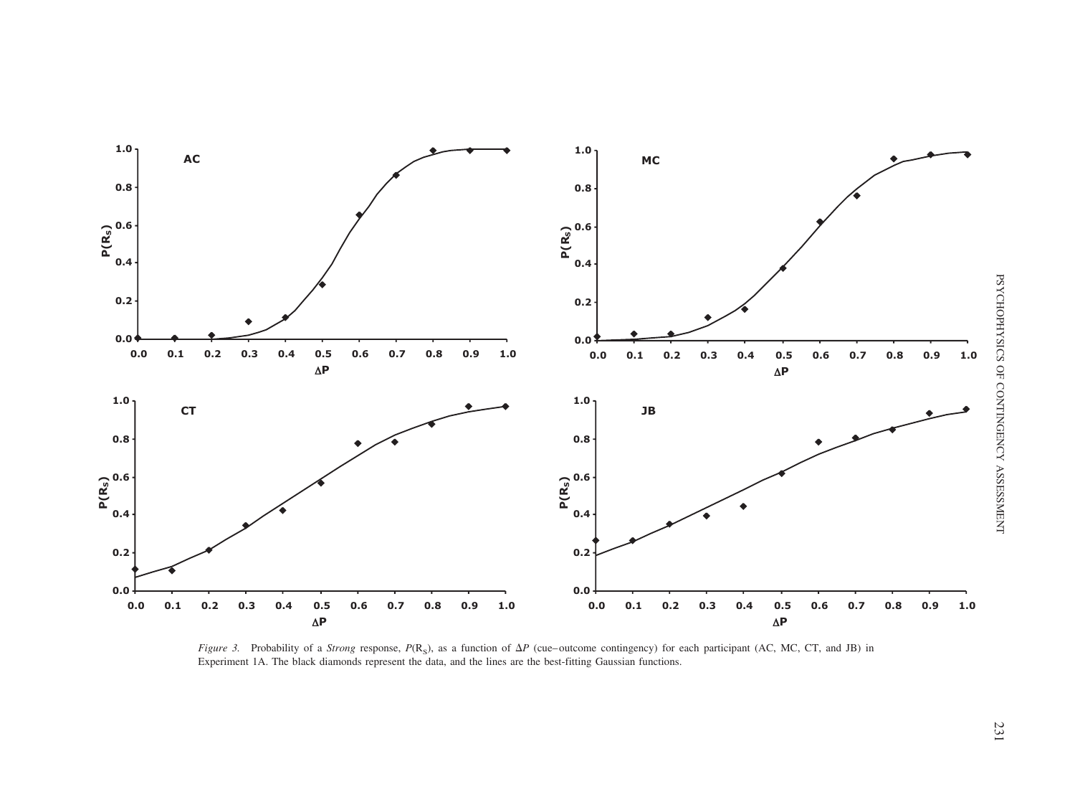

*Figure 3.* Probability of a *Strong* response,  $P(R_S)$ , as a function of  $\Delta P$  (cue–outcome contingency) for each participant (AC, MC, CT, and JB) in Experiment 1A. The black diamonds represent the data, and the lines are the best-fitting Gaussian functions.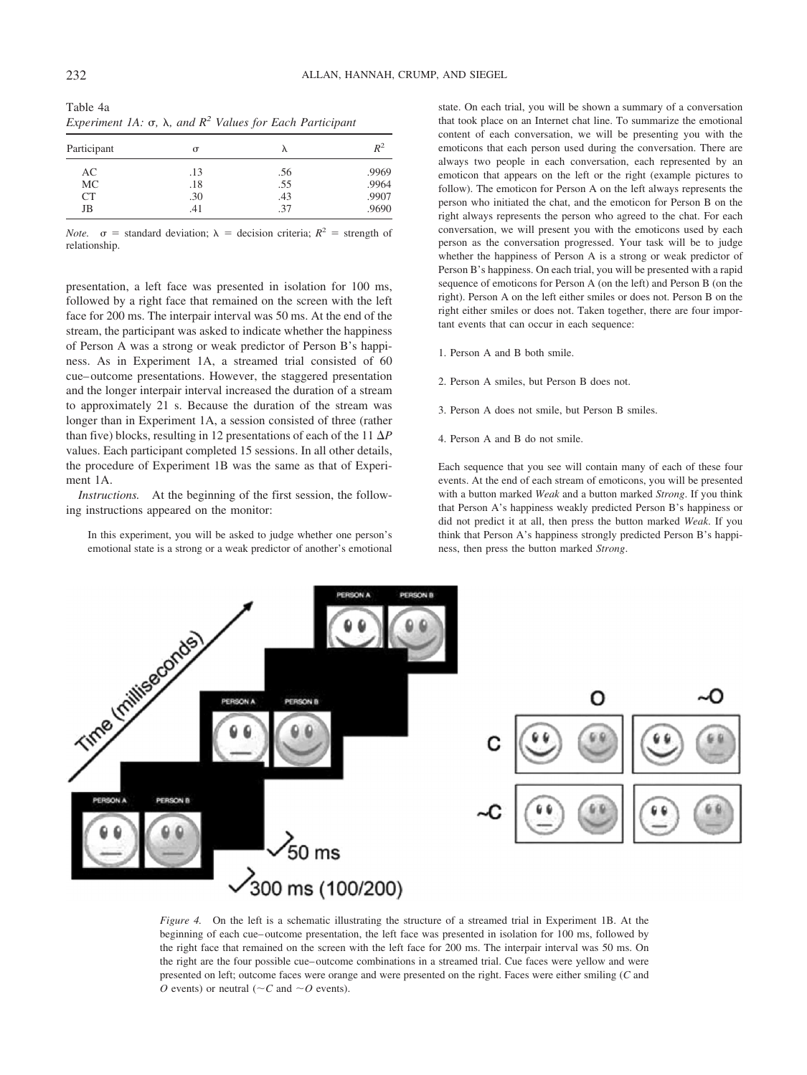| Table 4a                                                                    |  |  |
|-----------------------------------------------------------------------------|--|--|
| Experiment 1A: $\sigma$ , $\lambda$ , and $R^2$ Values for Each Participant |  |  |

| Participant | σ   |     | $R^2$ |
|-------------|-----|-----|-------|
| AC          | .13 | .56 | .9969 |
| MC          | .18 | .55 | .9964 |
| <b>CT</b>   | .30 | .43 | .9907 |
| JB          | .41 | .37 | .9690 |

*Note.*  $\sigma$  = standard deviation;  $\lambda$  = decision criteria;  $R^2$  = strength of relationship.

presentation, a left face was presented in isolation for 100 ms, followed by a right face that remained on the screen with the left face for 200 ms. The interpair interval was 50 ms. At the end of the stream, the participant was asked to indicate whether the happiness of Person A was a strong or weak predictor of Person B's happiness. As in Experiment 1A, a streamed trial consisted of 60 cue– outcome presentations. However, the staggered presentation and the longer interpair interval increased the duration of a stream to approximately 21 s. Because the duration of the stream was longer than in Experiment 1A, a session consisted of three (rather than five) blocks, resulting in 12 presentations of each of the 11  $\Delta P$ values. Each participant completed 15 sessions. In all other details, the procedure of Experiment 1B was the same as that of Experiment 1A.

*Instructions.* At the beginning of the first session, the following instructions appeared on the monitor:

In this experiment, you will be asked to judge whether one person's emotional state is a strong or a weak predictor of another's emotional state. On each trial, you will be shown a summary of a conversation that took place on an Internet chat line. To summarize the emotional content of each conversation, we will be presenting you with the emoticons that each person used during the conversation. There are always two people in each conversation, each represented by an emoticon that appears on the left or the right (example pictures to follow). The emoticon for Person A on the left always represents the person who initiated the chat, and the emoticon for Person B on the right always represents the person who agreed to the chat. For each conversation, we will present you with the emoticons used by each person as the conversation progressed. Your task will be to judge whether the happiness of Person A is a strong or weak predictor of Person B's happiness. On each trial, you will be presented with a rapid sequence of emoticons for Person A (on the left) and Person B (on the right). Person A on the left either smiles or does not. Person B on the right either smiles or does not. Taken together, there are four important events that can occur in each sequence:

- 1. Person A and B both smile.
- 2. Person A smiles, but Person B does not.
- 3. Person A does not smile, but Person B smiles.
- 4. Person A and B do not smile.

Each sequence that you see will contain many of each of these four events. At the end of each stream of emoticons, you will be presented with a button marked *Weak* and a button marked *Strong*. If you think that Person A's happiness weakly predicted Person B's happiness or did not predict it at all, then press the button marked *Weak*. If you think that Person A's happiness strongly predicted Person B's happiness, then press the button marked *Strong*.



*Figure 4.* On the left is a schematic illustrating the structure of a streamed trial in Experiment 1B. At the beginning of each cue– outcome presentation, the left face was presented in isolation for 100 ms, followed by the right face that remained on the screen with the left face for 200 ms. The interpair interval was 50 ms. On the right are the four possible cue– outcome combinations in a streamed trial. Cue faces were yellow and were presented on left; outcome faces were orange and were presented on the right. Faces were either smiling (*C* and *O* events) or neutral ( $\sim$ *C* and  $\sim$ *O* events).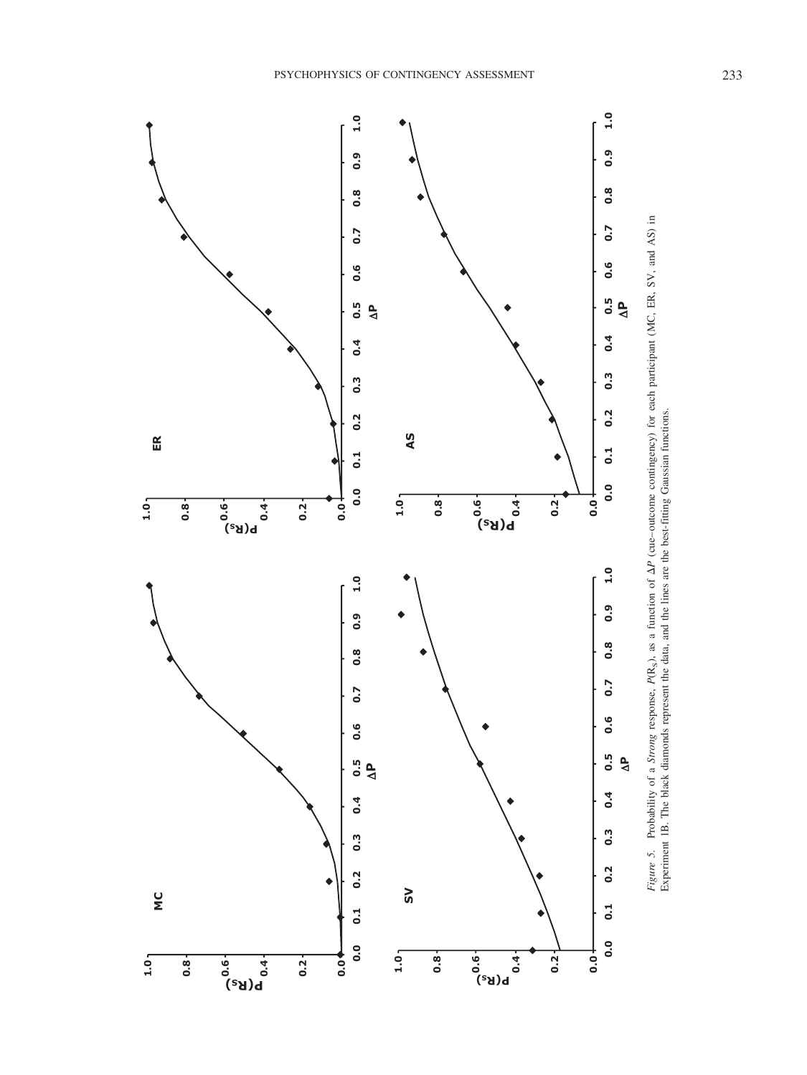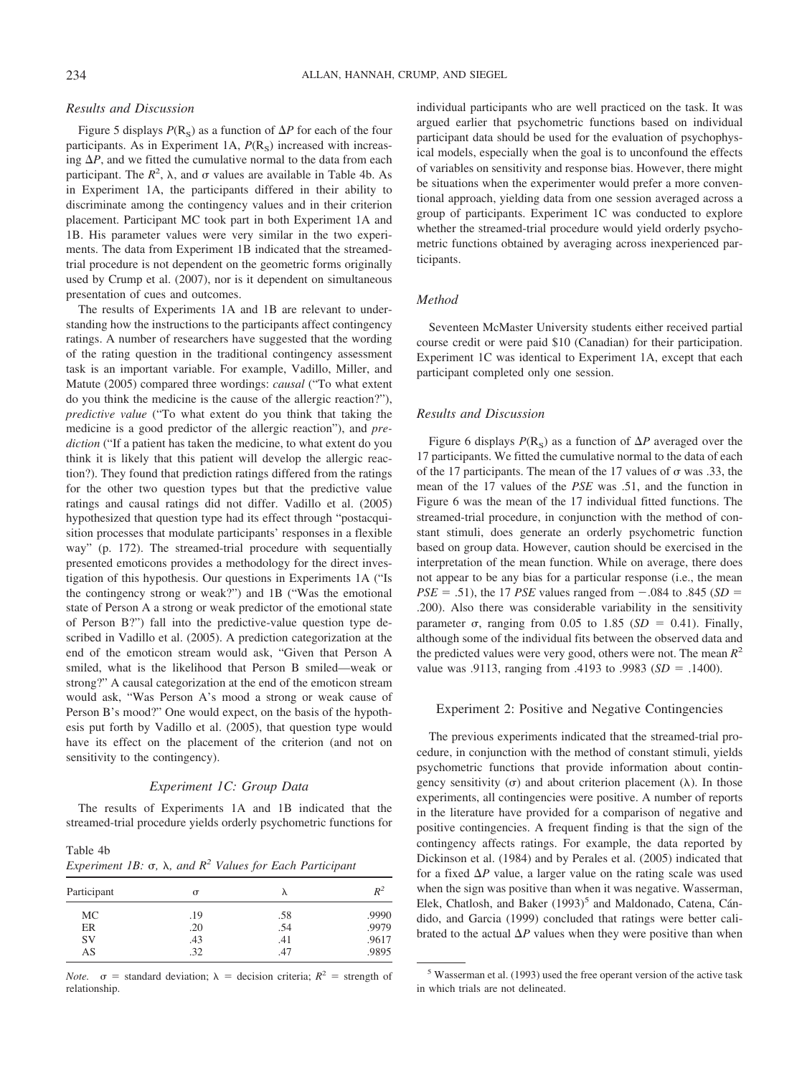# *Results and Discussion*

Figure 5 displays  $P(R<sub>S</sub>)$  as a function of  $\Delta P$  for each of the four participants. As in Experiment 1A,  $P(R<sub>S</sub>)$  increased with increasing  $\Delta P$ , and we fitted the cumulative normal to the data from each participant. The  $R^2$ ,  $\lambda$ , and  $\sigma$  values are available in Table 4b. As in Experiment 1A, the participants differed in their ability to discriminate among the contingency values and in their criterion placement. Participant MC took part in both Experiment 1A and 1B. His parameter values were very similar in the two experiments. The data from Experiment 1B indicated that the streamedtrial procedure is not dependent on the geometric forms originally used by Crump et al. (2007), nor is it dependent on simultaneous presentation of cues and outcomes.

The results of Experiments 1A and 1B are relevant to understanding how the instructions to the participants affect contingency ratings. A number of researchers have suggested that the wording of the rating question in the traditional contingency assessment task is an important variable. For example, Vadillo, Miller, and Matute (2005) compared three wordings: *causal* ("To what extent do you think the medicine is the cause of the allergic reaction?"), *predictive value* ("To what extent do you think that taking the medicine is a good predictor of the allergic reaction"), and *prediction* ("If a patient has taken the medicine, to what extent do you think it is likely that this patient will develop the allergic reaction?). They found that prediction ratings differed from the ratings for the other two question types but that the predictive value ratings and causal ratings did not differ. Vadillo et al. (2005) hypothesized that question type had its effect through "postacquisition processes that modulate participants' responses in a flexible way" (p. 172). The streamed-trial procedure with sequentially presented emoticons provides a methodology for the direct investigation of this hypothesis. Our questions in Experiments 1A ("Is the contingency strong or weak?") and 1B ("Was the emotional state of Person A a strong or weak predictor of the emotional state of Person B?") fall into the predictive-value question type described in Vadillo et al. (2005). A prediction categorization at the end of the emoticon stream would ask, "Given that Person A smiled, what is the likelihood that Person B smiled—weak or strong?" A causal categorization at the end of the emoticon stream would ask, "Was Person A's mood a strong or weak cause of Person B's mood?" One would expect, on the basis of the hypothesis put forth by Vadillo et al. (2005), that question type would have its effect on the placement of the criterion (and not on sensitivity to the contingency).

## *Experiment 1C: Group Data*

The results of Experiments 1A and 1B indicated that the streamed-trial procedure yields orderly psychometric functions for

Table 4b

| Experiment 1B: $\sigma$ , $\lambda$ , and $R^2$ Values for Each Participant |  |  |
|-----------------------------------------------------------------------------|--|--|
|-----------------------------------------------------------------------------|--|--|

| Participant | $\sigma$ |     | $R^2$ |
|-------------|----------|-----|-------|
| МC          | .19      | .58 | .9990 |
| ER          | .20      | .54 | .9979 |
| <b>SV</b>   | .43      | .41 | .9617 |
| AS          | .32      | .47 | .9895 |

*Note.*  $\sigma$  = standard deviation;  $\lambda$  = decision criteria;  $R^2$  = strength of relationship.

individual participants who are well practiced on the task. It was argued earlier that psychometric functions based on individual participant data should be used for the evaluation of psychophysical models, especially when the goal is to unconfound the effects of variables on sensitivity and response bias. However, there might be situations when the experimenter would prefer a more conventional approach, yielding data from one session averaged across a group of participants. Experiment 1C was conducted to explore whether the streamed-trial procedure would yield orderly psychometric functions obtained by averaging across inexperienced participants.

## *Method*

Seventeen McMaster University students either received partial course credit or were paid \$10 (Canadian) for their participation. Experiment 1C was identical to Experiment 1A, except that each participant completed only one session.

## *Results and Discussion*

Figure 6 displays  $P(R<sub>S</sub>)$  as a function of  $\Delta P$  averaged over the 17 participants. We fitted the cumulative normal to the data of each of the 17 participants. The mean of the 17 values of  $\sigma$  was .33, the mean of the 17 values of the *PSE* was .51, and the function in Figure 6 was the mean of the 17 individual fitted functions. The streamed-trial procedure, in conjunction with the method of constant stimuli, does generate an orderly psychometric function based on group data. However, caution should be exercised in the interpretation of the mean function. While on average, there does not appear to be any bias for a particular response (i.e., the mean  $PSE = .51$ ), the 17 *PSE* values ranged from  $-.084$  to .845 (*SD* = .200). Also there was considerable variability in the sensitivity parameter  $\sigma$ , ranging from 0.05 to 1.85 (*SD* = 0.41). Finally, although some of the individual fits between the observed data and the predicted values were very good, others were not. The mean  $R^2$ value was .9113, ranging from .4193 to .9983 ( $SD = .1400$ ).

## Experiment 2: Positive and Negative Contingencies

The previous experiments indicated that the streamed-trial procedure, in conjunction with the method of constant stimuli, yields psychometric functions that provide information about contingency sensitivity  $(\sigma)$  and about criterion placement ( $\lambda$ ). In those experiments, all contingencies were positive. A number of reports in the literature have provided for a comparison of negative and positive contingencies. A frequent finding is that the sign of the contingency affects ratings. For example, the data reported by Dickinson et al. (1984) and by Perales et al. (2005) indicated that for a fixed  $\Delta P$  value, a larger value on the rating scale was used when the sign was positive than when it was negative. Wasserman, Elek, Chatlosh, and Baker  $(1993)^5$  and Maldonado, Catena, Cándido, and Garcia (1999) concluded that ratings were better calibrated to the actual  $\Delta P$  values when they were positive than when

<sup>5</sup> Wasserman et al. (1993) used the free operant version of the active task in which trials are not delineated.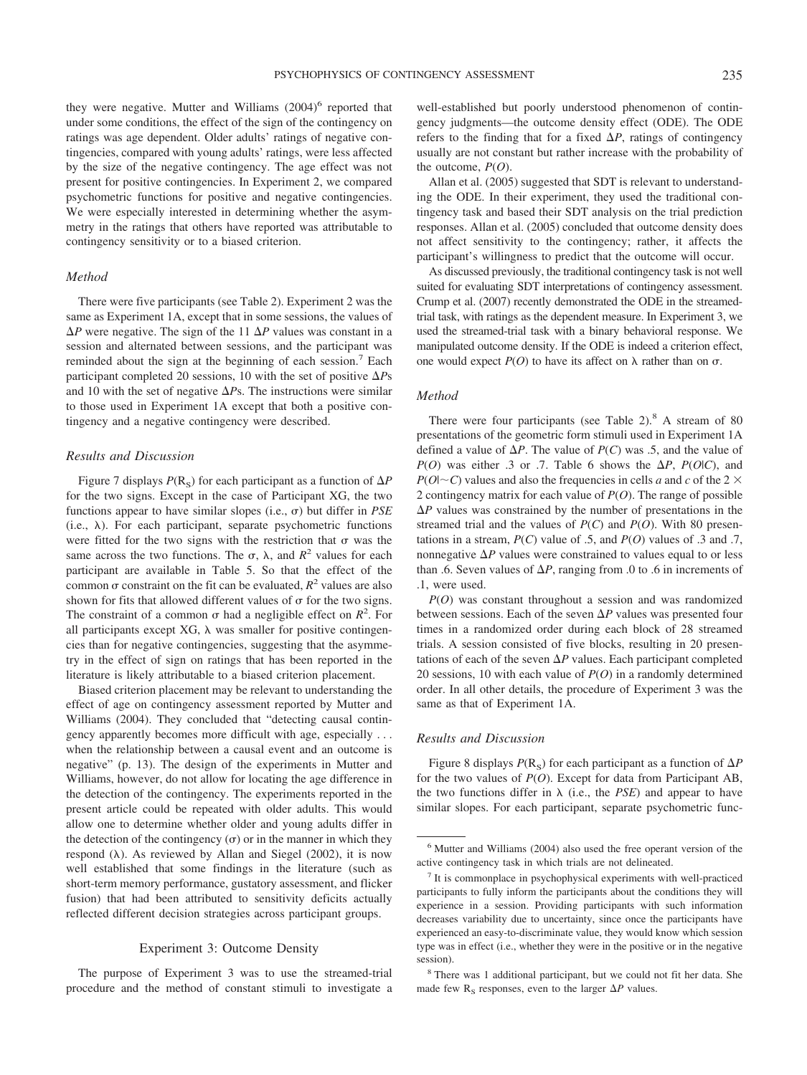they were negative. Mutter and Williams  $(2004)^6$  reported that under some conditions, the effect of the sign of the contingency on ratings was age dependent. Older adults' ratings of negative contingencies, compared with young adults' ratings, were less affected by the size of the negative contingency. The age effect was not present for positive contingencies. In Experiment 2, we compared psychometric functions for positive and negative contingencies. We were especially interested in determining whether the asymmetry in the ratings that others have reported was attributable to contingency sensitivity or to a biased criterion.

# *Method*

There were five participants (see Table 2). Experiment 2 was the same as Experiment 1A, except that in some sessions, the values of  $\Delta P$  were negative. The sign of the 11  $\Delta P$  values was constant in a session and alternated between sessions, and the participant was reminded about the sign at the beginning of each session.<sup>7</sup> Each participant completed 20 sessions, 10 with the set of positive  $\Delta P_s$ and 10 with the set of negative  $\Delta P$ s. The instructions were similar to those used in Experiment 1A except that both a positive contingency and a negative contingency were described.

## *Results and Discussion*

Figure 7 displays  $P(R_s)$  for each participant as a function of  $\Delta P$ for the two signs. Except in the case of Participant XG, the two functions appear to have similar slopes (i.e.,  $\sigma$ ) but differ in *PSE*  $(i.e., \lambda)$ . For each participant, separate psychometric functions were fitted for the two signs with the restriction that  $\sigma$  was the same across the two functions. The  $\sigma$ ,  $\lambda$ , and  $R^2$  values for each participant are available in Table 5. So that the effect of the common  $\sigma$  constraint on the fit can be evaluated,  $R^2$  values are also shown for fits that allowed different values of  $\sigma$  for the two signs. The constraint of a common  $\sigma$  had a negligible effect on  $R^2$ . For all participants except  $XG$ ,  $\lambda$  was smaller for positive contingencies than for negative contingencies, suggesting that the asymmetry in the effect of sign on ratings that has been reported in the literature is likely attributable to a biased criterion placement.

Biased criterion placement may be relevant to understanding the effect of age on contingency assessment reported by Mutter and Williams (2004). They concluded that "detecting causal contingency apparently becomes more difficult with age, especially . . . when the relationship between a causal event and an outcome is negative" (p. 13). The design of the experiments in Mutter and Williams, however, do not allow for locating the age difference in the detection of the contingency. The experiments reported in the present article could be repeated with older adults. This would allow one to determine whether older and young adults differ in the detection of the contingency  $(\sigma)$  or in the manner in which they respond  $(\lambda)$ . As reviewed by Allan and Siegel (2002), it is now well established that some findings in the literature (such as short-term memory performance, gustatory assessment, and flicker fusion) that had been attributed to sensitivity deficits actually reflected different decision strategies across participant groups.

## Experiment 3: Outcome Density

The purpose of Experiment 3 was to use the streamed-trial procedure and the method of constant stimuli to investigate a well-established but poorly understood phenomenon of contingency judgments—the outcome density effect (ODE). The ODE refers to the finding that for a fixed  $\Delta P$ , ratings of contingency usually are not constant but rather increase with the probability of the outcome, *P*(*O*).

Allan et al. (2005) suggested that SDT is relevant to understanding the ODE. In their experiment, they used the traditional contingency task and based their SDT analysis on the trial prediction responses. Allan et al. (2005) concluded that outcome density does not affect sensitivity to the contingency; rather, it affects the participant's willingness to predict that the outcome will occur.

As discussed previously, the traditional contingency task is not well suited for evaluating SDT interpretations of contingency assessment. Crump et al. (2007) recently demonstrated the ODE in the streamedtrial task, with ratings as the dependent measure. In Experiment 3, we used the streamed-trial task with a binary behavioral response. We manipulated outcome density. If the ODE is indeed a criterion effect, one would expect  $P(O)$  to have its affect on  $\lambda$  rather than on  $\sigma$ .

# *Method*

There were four participants (see Table 2). $8$  A stream of 80 presentations of the geometric form stimuli used in Experiment 1A defined a value of  $\Delta P$ . The value of  $P(C)$  was .5, and the value of *P*(*O*) was either .3 or .7. Table 6 shows the  $\Delta P$ , *P*(*O*|*C*), and  $P(O|\sim C)$  values and also the frequencies in cells *a* and *c* of the 2  $\times$ 2 contingency matrix for each value of *P*(*O*). The range of possible  $\Delta P$  values was constrained by the number of presentations in the streamed trial and the values of  $P(C)$  and  $P(O)$ . With 80 presentations in a stream,  $P(C)$  value of .5, and  $P(O)$  values of .3 and .7, nonnegative  $\Delta P$  values were constrained to values equal to or less than .6. Seven values of  $\Delta P$ , ranging from .0 to .6 in increments of .1, were used.

*P*(*O*) was constant throughout a session and was randomized between sessions. Each of the seven  $\Delta P$  values was presented four times in a randomized order during each block of 28 streamed trials. A session consisted of five blocks, resulting in 20 presentations of each of the seven  $\Delta P$  values. Each participant completed 20 sessions, 10 with each value of *P*(*O*) in a randomly determined order. In all other details, the procedure of Experiment 3 was the same as that of Experiment 1A.

## *Results and Discussion*

Figure 8 displays  $P(R<sub>S</sub>)$  for each participant as a function of  $\Delta P$ for the two values of *P*(*O*). Except for data from Participant AB, the two functions differ in  $\lambda$  (i.e., the *PSE*) and appear to have similar slopes. For each participant, separate psychometric func-

<sup>6</sup> Mutter and Williams (2004) also used the free operant version of the active contingency task in which trials are not delineated.

 $<sup>7</sup>$  It is commonplace in psychophysical experiments with well-practiced</sup> participants to fully inform the participants about the conditions they will experience in a session. Providing participants with such information decreases variability due to uncertainty, since once the participants have experienced an easy-to-discriminate value, they would know which session type was in effect (i.e., whether they were in the positive or in the negative session).

<sup>8</sup> There was 1 additional participant, but we could not fit her data. She made few  $R_s$  responses, even to the larger  $\Delta P$  values.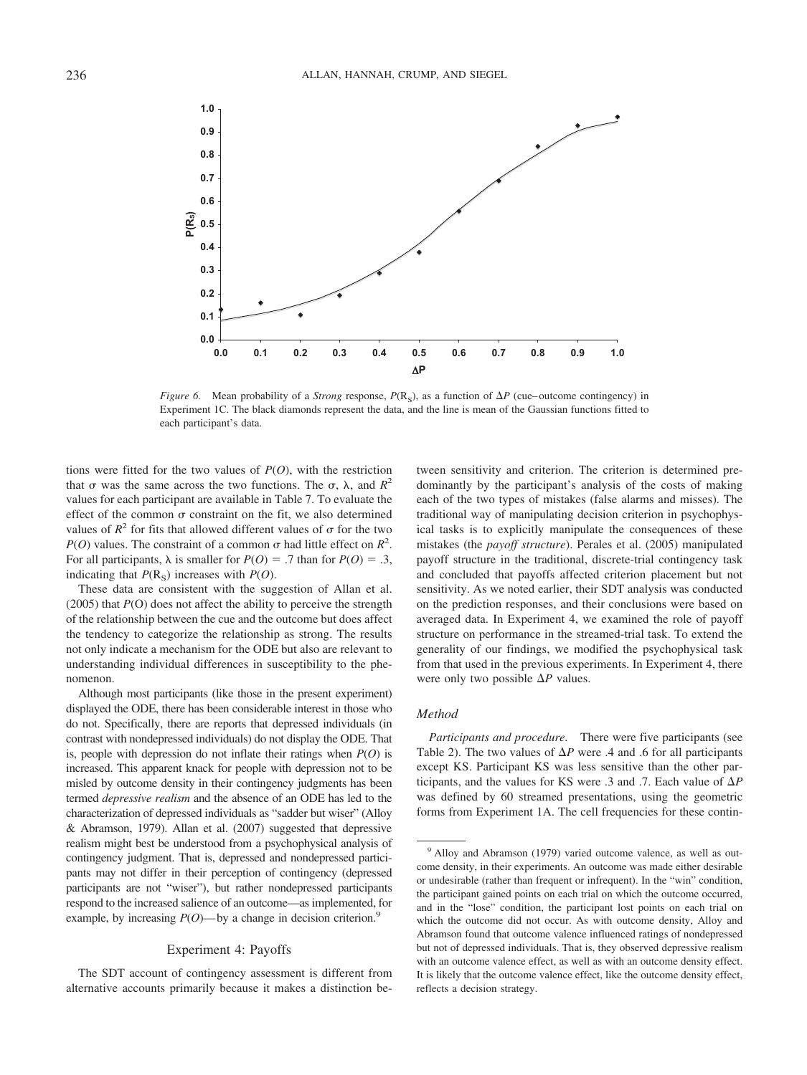

*Figure 6.* Mean probability of a *Strong* response,  $P(R<sub>S</sub>)$ , as a function of  $\Delta P$  (cue–outcome contingency) in Experiment 1C. The black diamonds represent the data, and the line is mean of the Gaussian functions fitted to each participant's data.

tions were fitted for the two values of *P*(*O*), with the restriction that  $\sigma$  was the same across the two functions. The  $\sigma$ ,  $\lambda$ , and  $R^2$ values for each participant are available in Table 7. To evaluate the effect of the common  $\sigma$  constraint on the fit, we also determined values of  $R^2$  for fits that allowed different values of  $\sigma$  for the two *P*(*O*) values. The constraint of a common  $\sigma$  had little effect on  $R^2$ . For all participants,  $\lambda$  is smaller for  $P(O) = .7$  than for  $P(O) = .3$ , indicating that  $P(R<sub>S</sub>)$  increases with  $P(O)$ .

These data are consistent with the suggestion of Allan et al. (2005) that *P*(O) does not affect the ability to perceive the strength of the relationship between the cue and the outcome but does affect the tendency to categorize the relationship as strong. The results not only indicate a mechanism for the ODE but also are relevant to understanding individual differences in susceptibility to the phenomenon.

Although most participants (like those in the present experiment) displayed the ODE, there has been considerable interest in those who do not. Specifically, there are reports that depressed individuals (in contrast with nondepressed individuals) do not display the ODE. That is, people with depression do not inflate their ratings when *P*(*O*) is increased. This apparent knack for people with depression not to be misled by outcome density in their contingency judgments has been termed *depressive realism* and the absence of an ODE has led to the characterization of depressed individuals as "sadder but wiser" (Alloy & Abramson, 1979). Allan et al. (2007) suggested that depressive realism might best be understood from a psychophysical analysis of contingency judgment. That is, depressed and nondepressed participants may not differ in their perception of contingency (depressed participants are not "wiser"), but rather nondepressed participants respond to the increased salience of an outcome—as implemented, for example, by increasing  $P(O)$ — by a change in decision criterion.<sup>9</sup>

## Experiment 4: Payoffs

The SDT account of contingency assessment is different from alternative accounts primarily because it makes a distinction between sensitivity and criterion. The criterion is determined predominantly by the participant's analysis of the costs of making each of the two types of mistakes (false alarms and misses). The traditional way of manipulating decision criterion in psychophysical tasks is to explicitly manipulate the consequences of these mistakes (the *payoff structure*). Perales et al. (2005) manipulated payoff structure in the traditional, discrete-trial contingency task and concluded that payoffs affected criterion placement but not sensitivity. As we noted earlier, their SDT analysis was conducted on the prediction responses, and their conclusions were based on averaged data. In Experiment 4, we examined the role of payoff structure on performance in the streamed-trial task. To extend the generality of our findings, we modified the psychophysical task from that used in the previous experiments. In Experiment 4, there were only two possible  $\Delta P$  values.

## *Method*

*Participants and procedure.* There were five participants (see Table 2). The two values of  $\Delta P$  were .4 and .6 for all participants except KS. Participant KS was less sensitive than the other participants, and the values for KS were .3 and .7. Each value of  $\Delta P$ was defined by 60 streamed presentations, using the geometric forms from Experiment 1A. The cell frequencies for these contin-

<sup>&</sup>lt;sup>9</sup> Alloy and Abramson (1979) varied outcome valence, as well as outcome density, in their experiments. An outcome was made either desirable or undesirable (rather than frequent or infrequent). In the "win" condition, the participant gained points on each trial on which the outcome occurred, and in the "lose" condition, the participant lost points on each trial on which the outcome did not occur. As with outcome density, Alloy and Abramson found that outcome valence influenced ratings of nondepressed but not of depressed individuals. That is, they observed depressive realism with an outcome valence effect, as well as with an outcome density effect. It is likely that the outcome valence effect, like the outcome density effect, reflects a decision strategy.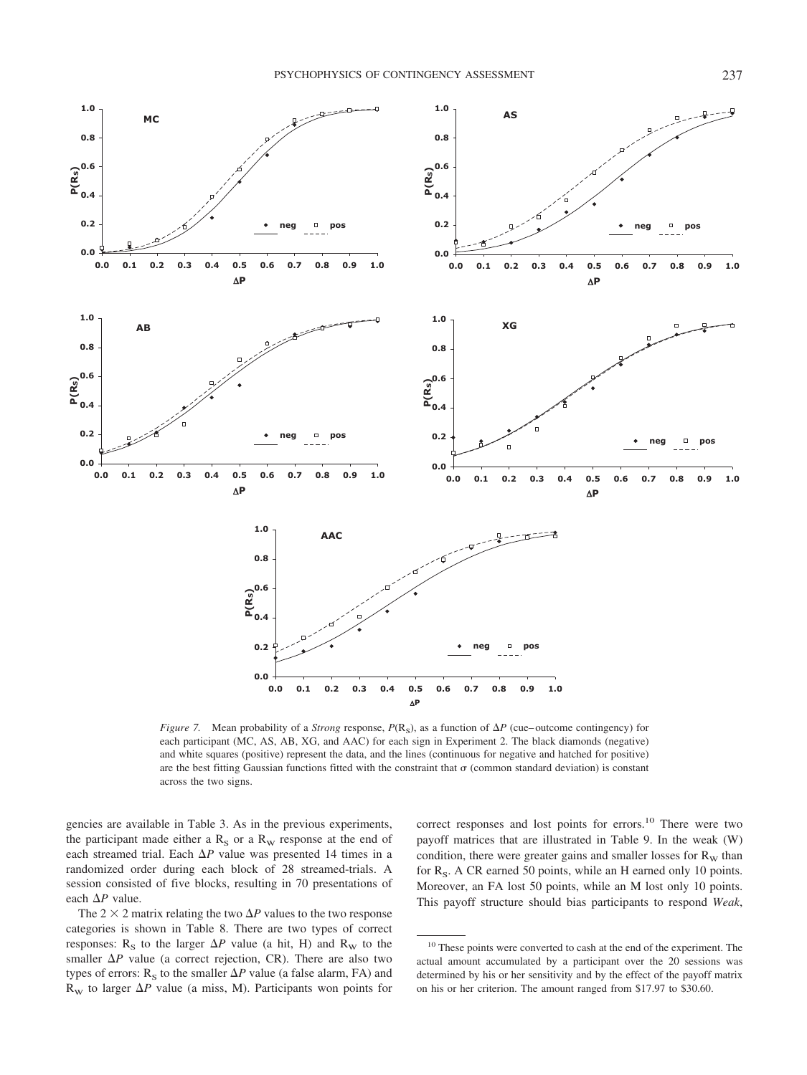

*Figure 7.* Mean probability of a *Strong* response,  $P(R_s)$ , as a function of  $\Delta P$  (cue–outcome contingency) for each participant (MC, AS, AB, XG, and AAC) for each sign in Experiment 2. The black diamonds (negative) and white squares (positive) represent the data, and the lines (continuous for negative and hatched for positive) are the best fitting Gaussian functions fitted with the constraint that  $\sigma$  (common standard deviation) is constant across the two signs.

gencies are available in Table 3. As in the previous experiments, the participant made either a  $R<sub>S</sub>$  or a  $R<sub>W</sub>$  response at the end of each streamed trial. Each  $\Delta P$  value was presented 14 times in a randomized order during each block of 28 streamed-trials. A session consisted of five blocks, resulting in 70 presentations of each  $\Delta P$  value.

The 2  $\times$  2 matrix relating the two  $\Delta P$  values to the two response categories is shown in Table 8. There are two types of correct responses:  $R_s$  to the larger  $\Delta P$  value (a hit, H) and  $R_w$  to the smaller  $\Delta P$  value (a correct rejection, CR). There are also two types of errors:  $R_s$  to the smaller  $\Delta P$  value (a false alarm, FA) and  $R_w$  to larger  $\Delta P$  value (a miss, M). Participants won points for correct responses and lost points for errors.<sup>10</sup> There were two payoff matrices that are illustrated in Table 9. In the weak (W) condition, there were greater gains and smaller losses for  $R_w$  than for  $R_s$ . A CR earned 50 points, while an H earned only 10 points. Moreover, an FA lost 50 points, while an M lost only 10 points. This payoff structure should bias participants to respond *Weak*,

<sup>&</sup>lt;sup>10</sup> These points were converted to cash at the end of the experiment. The actual amount accumulated by a participant over the 20 sessions was determined by his or her sensitivity and by the effect of the payoff matrix on his or her criterion. The amount ranged from \$17.97 to \$30.60.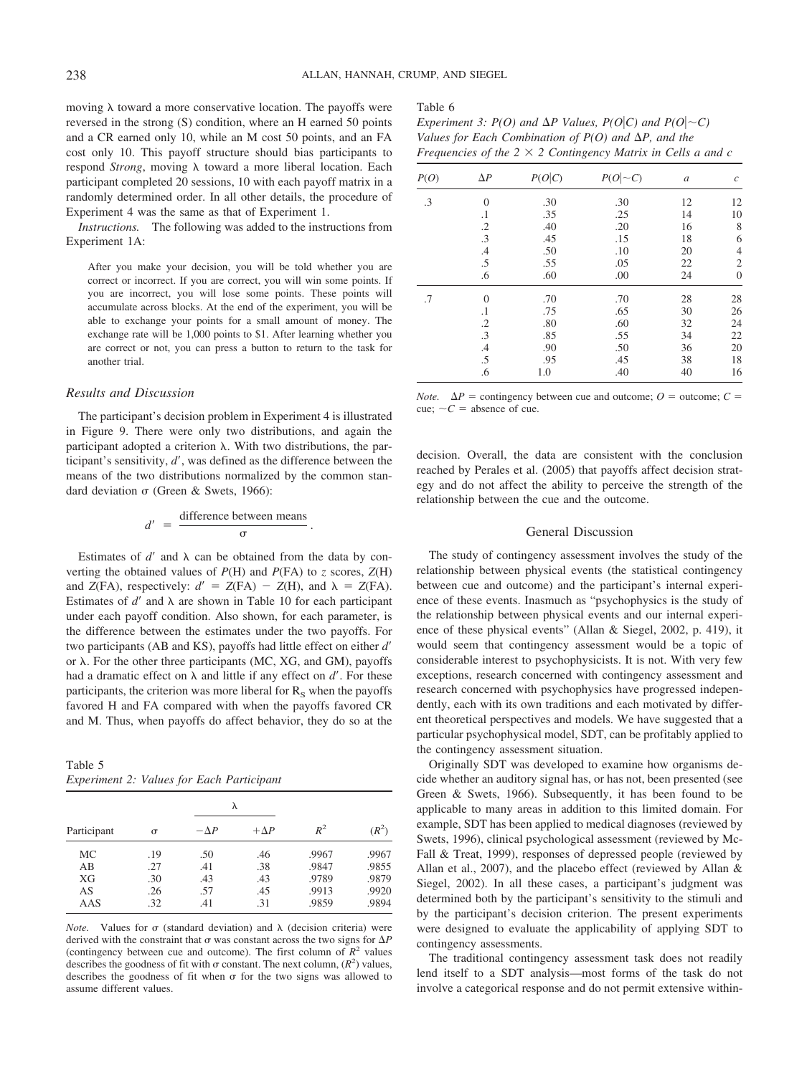moving  $\lambda$  toward a more conservative location. The payoffs were reversed in the strong (S) condition, where an H earned 50 points and a CR earned only 10, while an M cost 50 points, and an FA cost only 10. This payoff structure should bias participants to respond *Strong*, moving  $\lambda$  toward a more liberal location. Each participant completed 20 sessions, 10 with each payoff matrix in a randomly determined order. In all other details, the procedure of Experiment 4 was the same as that of Experiment 1.

*Instructions.* The following was added to the instructions from Experiment 1A:

After you make your decision, you will be told whether you are correct or incorrect. If you are correct, you will win some points. If you are incorrect, you will lose some points. These points will accumulate across blocks. At the end of the experiment, you will be able to exchange your points for a small amount of money. The exchange rate will be 1,000 points to \$1. After learning whether you are correct or not, you can press a button to return to the task for another trial.

#### *Results and Discussion*

The participant's decision problem in Experiment 4 is illustrated in Figure 9. There were only two distributions, and again the participant adopted a criterion  $\lambda$ . With two distributions, the participant's sensitivity, *d'*, was defined as the difference between the means of the two distributions normalized by the common standard deviation  $\sigma$  (Green & Swets, 1966):

$$
d' = \frac{\text{difference between means}}{\sigma}.
$$

Estimates of  $d'$  and  $\lambda$  can be obtained from the data by converting the obtained values of *P*(H) and *P*(FA) to *z* scores, *Z*(H) and *Z*(FA), respectively:  $d' = Z(FA) - Z(H)$ , and  $\lambda = Z(FA)$ . Estimates of  $d'$  and  $\lambda$  are shown in Table 10 for each participant under each payoff condition. Also shown, for each parameter, is the difference between the estimates under the two payoffs. For two participants (AB and KS), payoffs had little effect on either *d*, or  $\lambda$ . For the other three participants (MC, XG, and GM), payoffs had a dramatic effect on  $\lambda$  and little if any effect on  $d'$ . For these participants, the criterion was more liberal for  $R<sub>s</sub>$  when the payoffs favored H and FA compared with when the payoffs favored CR and M. Thus, when payoffs do affect behavior, they do so at the

Table 5 *Experiment 2: Values for Each Participant*

|             |          | λ            |             |       |         |
|-------------|----------|--------------|-------------|-------|---------|
| Participant | $\sigma$ | $-\Lambda P$ | $+\Delta P$ | $R^2$ | $(R^2)$ |
| МC          | .19      | .50          | .46         | .9967 | .9967   |
| AB          | .27      | .41          | .38         | .9847 | .9855   |
| XG          | .30      | .43          | .43         | .9789 | .9879   |
| AS          | .26      | .57          | .45         | .9913 | .9920   |
| AAS         | .32      | .41          | .31         | .9859 | .9894   |

*Note.* Values for  $\sigma$  (standard deviation) and  $\lambda$  (decision criteria) were derived with the constraint that  $\sigma$  was constant across the two signs for  $\Delta P$ (contingency between cue and outcome). The first column of  $R^2$  values describes the goodness of fit with  $\sigma$  constant. The next column,  $(R^2)$  values, describes the goodness of fit when  $\sigma$  for the two signs was allowed to assume different values.

#### Table 6

*Experiment 3: P(O) and*  $\Delta P$  *Values, P(O|C) and P(O|~C) Values for Each Combination of*  $P(O)$  *and*  $\Delta P$ *, and the Frequencies of the 2*  $\times$  *2 Contingency Matrix in Cells a and c* 

| P(O) | $\Delta P$     | P(O C) | $P(O \sim C)$ | $\boldsymbol{a}$ | $\boldsymbol{c}$ |
|------|----------------|--------|---------------|------------------|------------------|
| .3   | $\overline{0}$ | .30    | .30           | 12               | 12               |
|      | $\cdot$        | .35    | .25           | 14               | 10               |
|      | $\cdot$        | .40    | .20           | 16               | 8                |
|      | .3             | .45    | .15           | 18               | 6                |
|      | .4             | .50    | .10           | 20               | $\overline{4}$   |
|      | .5             | .55    | .05           | 22               | $\overline{c}$   |
|      | .6             | .60    | .00           | 24               | $\mathbf{0}$     |
| .7   | $\Omega$       | .70    | .70           | 28               | 28               |
|      | $\cdot$        | .75    | .65           | 30               | 26               |
|      | $\cdot$        | .80    | .60           | 32               | 24               |
|      | .3             | .85    | .55           | 34               | 22               |
|      | $\cdot$ 4      | .90    | .50           | 36               | 20               |
|      | .5             | .95    | .45           | 38               | 18               |
|      | .6             | 1.0    | .40           | 40               | 16               |

*Note.*  $\Delta P$  = contingency between cue and outcome; *O* = outcome; *C* = cue;  $\sim$  *C* = absence of cue.

decision. Overall, the data are consistent with the conclusion reached by Perales et al. (2005) that payoffs affect decision strategy and do not affect the ability to perceive the strength of the relationship between the cue and the outcome.

## General Discussion

The study of contingency assessment involves the study of the relationship between physical events (the statistical contingency between cue and outcome) and the participant's internal experience of these events. Inasmuch as "psychophysics is the study of the relationship between physical events and our internal experience of these physical events" (Allan & Siegel, 2002, p. 419), it would seem that contingency assessment would be a topic of considerable interest to psychophysicists. It is not. With very few exceptions, research concerned with contingency assessment and research concerned with psychophysics have progressed independently, each with its own traditions and each motivated by different theoretical perspectives and models. We have suggested that a particular psychophysical model, SDT, can be profitably applied to the contingency assessment situation.

Originally SDT was developed to examine how organisms decide whether an auditory signal has, or has not, been presented (see Green & Swets, 1966). Subsequently, it has been found to be applicable to many areas in addition to this limited domain. For example, SDT has been applied to medical diagnoses (reviewed by Swets, 1996), clinical psychological assessment (reviewed by Mc-Fall & Treat, 1999), responses of depressed people (reviewed by Allan et al., 2007), and the placebo effect (reviewed by Allan & Siegel, 2002). In all these cases, a participant's judgment was determined both by the participant's sensitivity to the stimuli and by the participant's decision criterion. The present experiments were designed to evaluate the applicability of applying SDT to contingency assessments.

The traditional contingency assessment task does not readily lend itself to a SDT analysis—most forms of the task do not involve a categorical response and do not permit extensive within-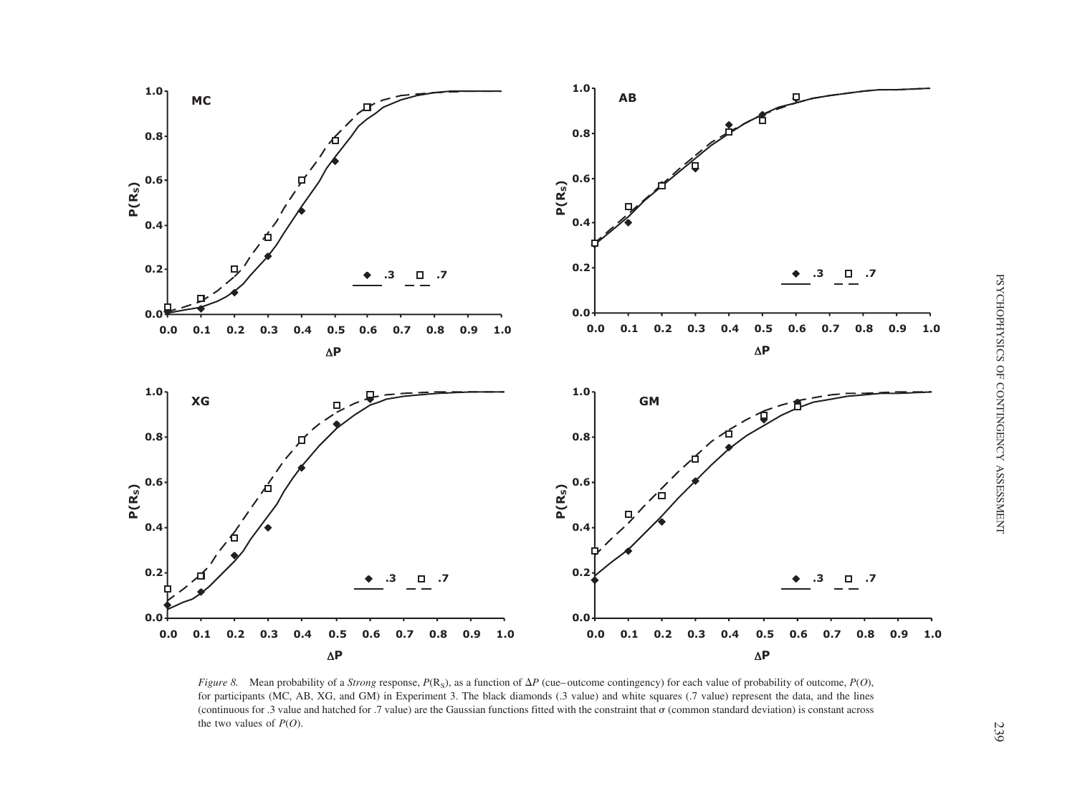

*Figure 8.* Mean probability of a *Strong* response,  $P(\mathbf{R_S})$ , as a function of  $\Delta P$  (cue–outcome contingency) for each value of probability of outcome,  $P(O)$ , for participants (MC, AB, XG, and GM) in Experiment 3. The black diamonds (.3 value) and white squares (.7 value) represent the data, and the lines (continuous for .3 value and hatched for .7 value) are the Gaussian functions fitted with the constraint that  $\sigma$  (common standard deviation) is constant across the two values of  $P(O)$ .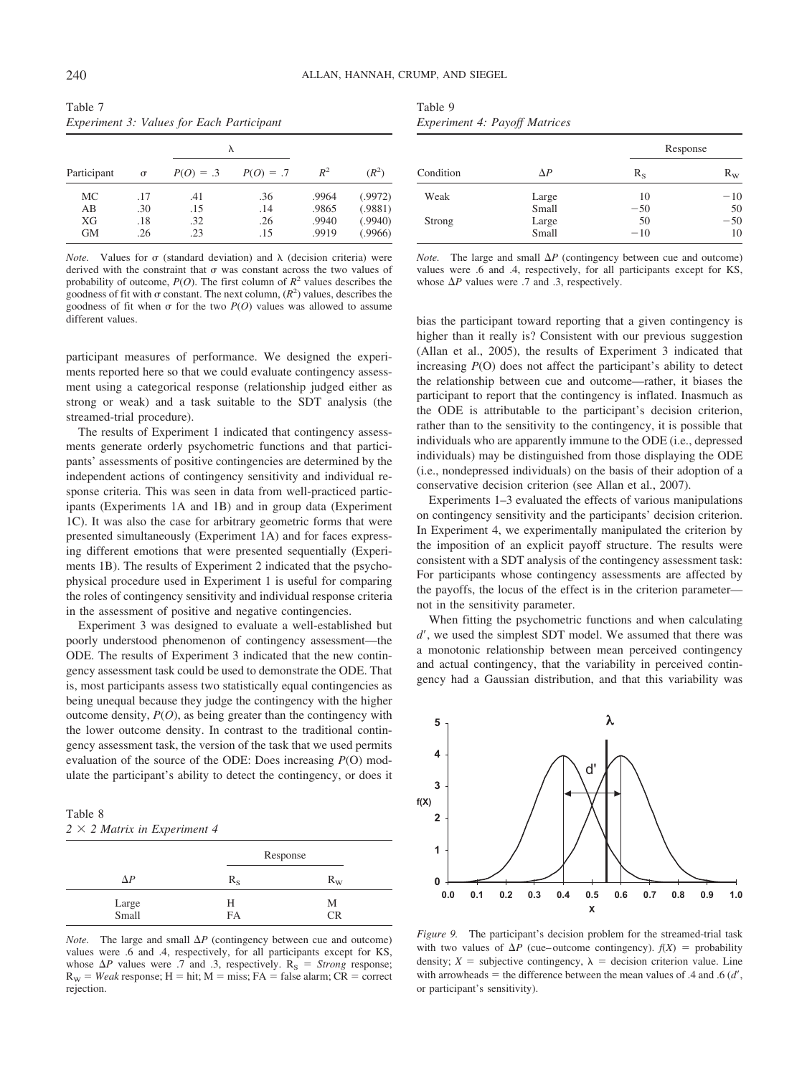| Table 7                                   |  |  |
|-------------------------------------------|--|--|
| Experiment 3: Values for Each Participant |  |  |

| Participant | $\sigma$ | $P(O) = .3$ | $P(O) = .7$ | $R^2$ | $(R^2)$ |
|-------------|----------|-------------|-------------|-------|---------|
| МC          | .17      | .41         | .36         | .9964 | (.9972) |
| AB          | .30      | .15         | .14         | .9865 | (.9881) |
| XG          | .18      | .32         | .26         | .9940 | (.9940) |
| <b>GM</b>   | .26      | .23         | .15         | .9919 | (.9966) |

*Note.* Values for  $\sigma$  (standard deviation) and  $\lambda$  (decision criteria) were derived with the constraint that  $\sigma$  was constant across the two values of probability of outcome,  $P(O)$ . The first column of  $R^2$  values describes the goodness of fit with  $\sigma$  constant. The next column,  $(R^2)$  values, describes the goodness of fit when  $\sigma$  for the two  $P(O)$  values was allowed to assume different values.

participant measures of performance. We designed the experiments reported here so that we could evaluate contingency assessment using a categorical response (relationship judged either as strong or weak) and a task suitable to the SDT analysis (the streamed-trial procedure).

The results of Experiment 1 indicated that contingency assessments generate orderly psychometric functions and that participants' assessments of positive contingencies are determined by the independent actions of contingency sensitivity and individual response criteria. This was seen in data from well-practiced participants (Experiments 1A and 1B) and in group data (Experiment 1C). It was also the case for arbitrary geometric forms that were presented simultaneously (Experiment 1A) and for faces expressing different emotions that were presented sequentially (Experiments 1B). The results of Experiment 2 indicated that the psychophysical procedure used in Experiment 1 is useful for comparing the roles of contingency sensitivity and individual response criteria in the assessment of positive and negative contingencies.

Experiment 3 was designed to evaluate a well-established but poorly understood phenomenon of contingency assessment—the ODE. The results of Experiment 3 indicated that the new contingency assessment task could be used to demonstrate the ODE. That is, most participants assess two statistically equal contingencies as being unequal because they judge the contingency with the higher outcome density, *P*(*O*), as being greater than the contingency with the lower outcome density. In contrast to the traditional contingency assessment task, the version of the task that we used permits evaluation of the source of the ODE: Does increasing *P*(O) modulate the participant's ability to detect the contingency, or does it

Table 8 *2* ! *2 Matrix in Experiment 4*

|                | Response |             |  |
|----------------|----------|-------------|--|
| $\Delta P$     | $R_{S}$  | $R_{\rm w}$ |  |
| Large<br>Small | Н<br>FA  | М<br>CR     |  |

*Note.* The large and small  $\Delta P$  (contingency between cue and outcome) values were .6 and .4, respectively, for all participants except for KS, whose  $\Delta P$  values were .7 and .3, respectively.  $R_S =$  *Strong* response;  $R_W = Weak$  response;  $H = hit$ ;  $M = miss$ ;  $FA = false$  alarm;  $CR = correct$ rejection.

Table 9 *Experiment 4: Payoff Matrices*

| Condition |            | Response |             |
|-----------|------------|----------|-------------|
|           | $\Delta P$ | $R_{S}$  | $R_{\rm w}$ |
| Weak      | Large      | 10       | $-10$       |
|           | Small      | $-50$    | 50          |
| Strong    | Large      | 50       | $-50$       |
|           | Small      | $-10$    | 10          |

*Note.* The large and small  $\Delta P$  (contingency between cue and outcome) values were .6 and .4, respectively, for all participants except for KS, whose  $\Delta P$  values were .7 and .3, respectively.

bias the participant toward reporting that a given contingency is higher than it really is? Consistent with our previous suggestion (Allan et al., 2005), the results of Experiment 3 indicated that increasing *P*(O) does not affect the participant's ability to detect the relationship between cue and outcome—rather, it biases the participant to report that the contingency is inflated. Inasmuch as the ODE is attributable to the participant's decision criterion, rather than to the sensitivity to the contingency, it is possible that individuals who are apparently immune to the ODE (i.e., depressed individuals) may be distinguished from those displaying the ODE (i.e., nondepressed individuals) on the basis of their adoption of a conservative decision criterion (see Allan et al., 2007).

Experiments 1–3 evaluated the effects of various manipulations on contingency sensitivity and the participants' decision criterion. In Experiment 4, we experimentally manipulated the criterion by the imposition of an explicit payoff structure. The results were consistent with a SDT analysis of the contingency assessment task: For participants whose contingency assessments are affected by the payoffs, the locus of the effect is in the criterion parameter not in the sensitivity parameter.

When fitting the psychometric functions and when calculating d', we used the simplest SDT model. We assumed that there was a monotonic relationship between mean perceived contingency and actual contingency, that the variability in perceived contingency had a Gaussian distribution, and that this variability was



*Figure 9.* The participant's decision problem for the streamed-trial task with two values of  $\Delta P$  (cue–outcome contingency).  $f(X) =$  probability density;  $X =$  subjective contingency,  $\lambda =$  decision criterion value. Line with arrowheads  $=$  the difference between the mean values of .4 and .6 ( $d'$ , or participant's sensitivity).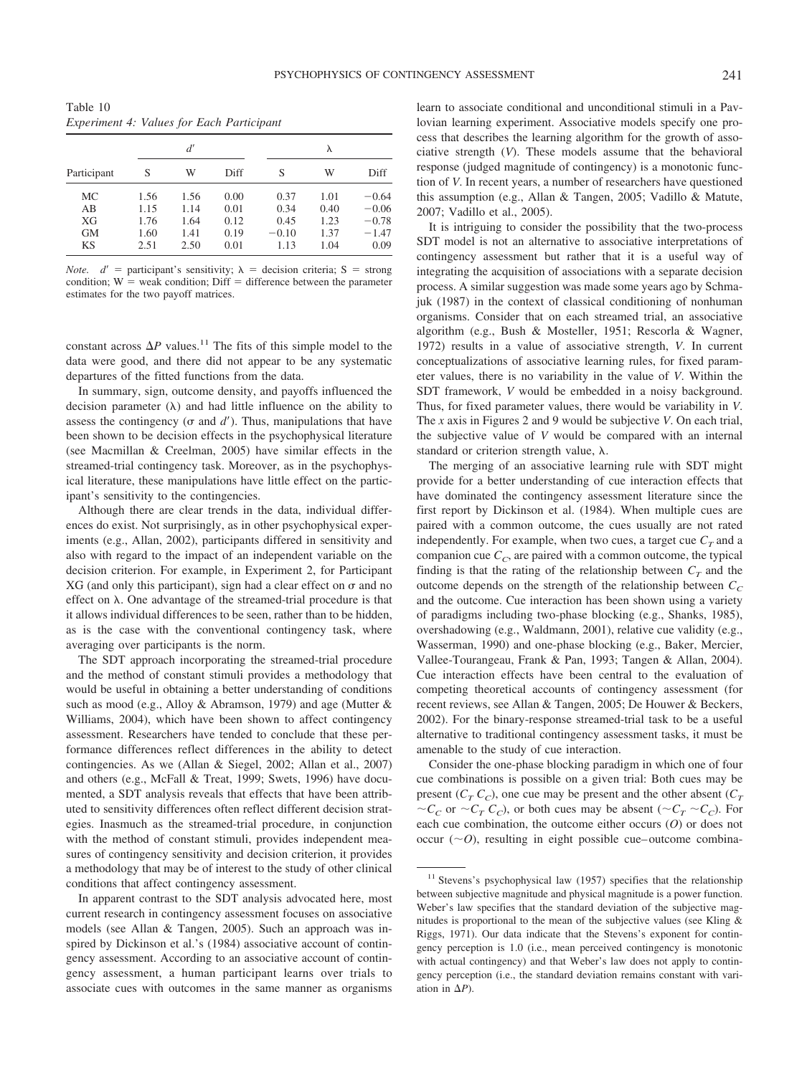Table 10 *Experiment 4: Values for Each Participant*

|             |      | $d^{\prime}$ |      | λ       |      |         |
|-------------|------|--------------|------|---------|------|---------|
| Participant | S    | W            | Diff | S       | W    | Diff    |
| МC          | 1.56 | 1.56         | 0.00 | 0.37    | 1.01 | $-0.64$ |
| AВ          | 1.15 | 1.14         | 0.01 | 0.34    | 0.40 | $-0.06$ |
| XG          | 1.76 | 1.64         | 0.12 | 0.45    | 1.23 | $-0.78$ |
| <b>GM</b>   | 1.60 | 1.41         | 0.19 | $-0.10$ | 1.37 | $-1.47$ |
| <b>KS</b>   | 2.51 | 2.50         | 0.01 | 1.13    | 1.04 | 0.09    |

*Note.*  $d'$  = participant's sensitivity;  $\lambda$  = decision criteria; S = strong condition;  $W =$  weak condition; Diff = difference between the parameter estimates for the two payoff matrices.

constant across  $\Delta P$  values.<sup>11</sup> The fits of this simple model to the data were good, and there did not appear to be any systematic departures of the fitted functions from the data.

In summary, sign, outcome density, and payoffs influenced the decision parameter  $(\lambda)$  and had little influence on the ability to assess the contingency ( $\sigma$  and  $d'$ ). Thus, manipulations that have been shown to be decision effects in the psychophysical literature (see Macmillan & Creelman, 2005) have similar effects in the streamed-trial contingency task. Moreover, as in the psychophysical literature, these manipulations have little effect on the participant's sensitivity to the contingencies.

Although there are clear trends in the data, individual differences do exist. Not surprisingly, as in other psychophysical experiments (e.g., Allan, 2002), participants differed in sensitivity and also with regard to the impact of an independent variable on the decision criterion. For example, in Experiment 2, for Participant XG (and only this participant), sign had a clear effect on  $\sigma$  and no effect on  $\lambda$ . One advantage of the streamed-trial procedure is that it allows individual differences to be seen, rather than to be hidden, as is the case with the conventional contingency task, where averaging over participants is the norm.

The SDT approach incorporating the streamed-trial procedure and the method of constant stimuli provides a methodology that would be useful in obtaining a better understanding of conditions such as mood (e.g., Alloy & Abramson, 1979) and age (Mutter & Williams, 2004), which have been shown to affect contingency assessment. Researchers have tended to conclude that these performance differences reflect differences in the ability to detect contingencies. As we (Allan & Siegel, 2002; Allan et al., 2007) and others (e.g., McFall & Treat, 1999; Swets, 1996) have documented, a SDT analysis reveals that effects that have been attributed to sensitivity differences often reflect different decision strategies. Inasmuch as the streamed-trial procedure, in conjunction with the method of constant stimuli, provides independent measures of contingency sensitivity and decision criterion, it provides a methodology that may be of interest to the study of other clinical conditions that affect contingency assessment.

In apparent contrast to the SDT analysis advocated here, most current research in contingency assessment focuses on associative models (see Allan & Tangen, 2005). Such an approach was inspired by Dickinson et al.'s (1984) associative account of contingency assessment. According to an associative account of contingency assessment, a human participant learns over trials to associate cues with outcomes in the same manner as organisms learn to associate conditional and unconditional stimuli in a Pavlovian learning experiment. Associative models specify one process that describes the learning algorithm for the growth of associative strength (*V*). These models assume that the behavioral response (judged magnitude of contingency) is a monotonic function of *V*. In recent years, a number of researchers have questioned this assumption (e.g., Allan & Tangen, 2005; Vadillo & Matute, 2007; Vadillo et al., 2005).

It is intriguing to consider the possibility that the two-process SDT model is not an alternative to associative interpretations of contingency assessment but rather that it is a useful way of integrating the acquisition of associations with a separate decision process. A similar suggestion was made some years ago by Schmajuk (1987) in the context of classical conditioning of nonhuman organisms. Consider that on each streamed trial, an associative algorithm (e.g., Bush & Mosteller, 1951; Rescorla & Wagner, 1972) results in a value of associative strength, *V*. In current conceptualizations of associative learning rules, for fixed parameter values, there is no variability in the value of *V*. Within the SDT framework, *V* would be embedded in a noisy background. Thus, for fixed parameter values, there would be variability in *V*. The *x* axis in Figures 2 and 9 would be subjective *V*. On each trial, the subjective value of *V* would be compared with an internal standard or criterion strength value,  $\lambda$ .

The merging of an associative learning rule with SDT might provide for a better understanding of cue interaction effects that have dominated the contingency assessment literature since the first report by Dickinson et al. (1984). When multiple cues are paired with a common outcome, the cues usually are not rated independently. For example, when two cues, a target cue  $C_T$  and a companion cue  $C_C$ , are paired with a common outcome, the typical finding is that the rating of the relationship between  $C_T$  and the outcome depends on the strength of the relationship between  $C_C$ and the outcome. Cue interaction has been shown using a variety of paradigms including two-phase blocking (e.g., Shanks, 1985), overshadowing (e.g., Waldmann, 2001), relative cue validity (e.g., Wasserman, 1990) and one-phase blocking (e.g., Baker, Mercier, Vallee-Tourangeau, Frank & Pan, 1993; Tangen & Allan, 2004). Cue interaction effects have been central to the evaluation of competing theoretical accounts of contingency assessment (for recent reviews, see Allan & Tangen, 2005; De Houwer & Beckers, 2002). For the binary-response streamed-trial task to be a useful alternative to traditional contingency assessment tasks, it must be amenable to the study of cue interaction.

Consider the one-phase blocking paradigm in which one of four cue combinations is possible on a given trial: Both cues may be present  $(C_T C_C)$ , one cue may be present and the other absent  $(C_T C_C)$  $\sim C_c$  or  $\sim C_T C_c$ ), or both cues may be absent ( $\sim C_T \sim C_c$ ). For each cue combination, the outcome either occurs (*O*) or does not occur  $({\sim}O)$ , resulting in eight possible cue–outcome combina-

<sup>&</sup>lt;sup>11</sup> Stevens's psychophysical law (1957) specifies that the relationship between subjective magnitude and physical magnitude is a power function. Weber's law specifies that the standard deviation of the subjective magnitudes is proportional to the mean of the subjective values (see Kling & Riggs, 1971). Our data indicate that the Stevens's exponent for contingency perception is 1.0 (i.e., mean perceived contingency is monotonic with actual contingency) and that Weber's law does not apply to contingency perception (i.e., the standard deviation remains constant with variation in  $\Delta P$ ).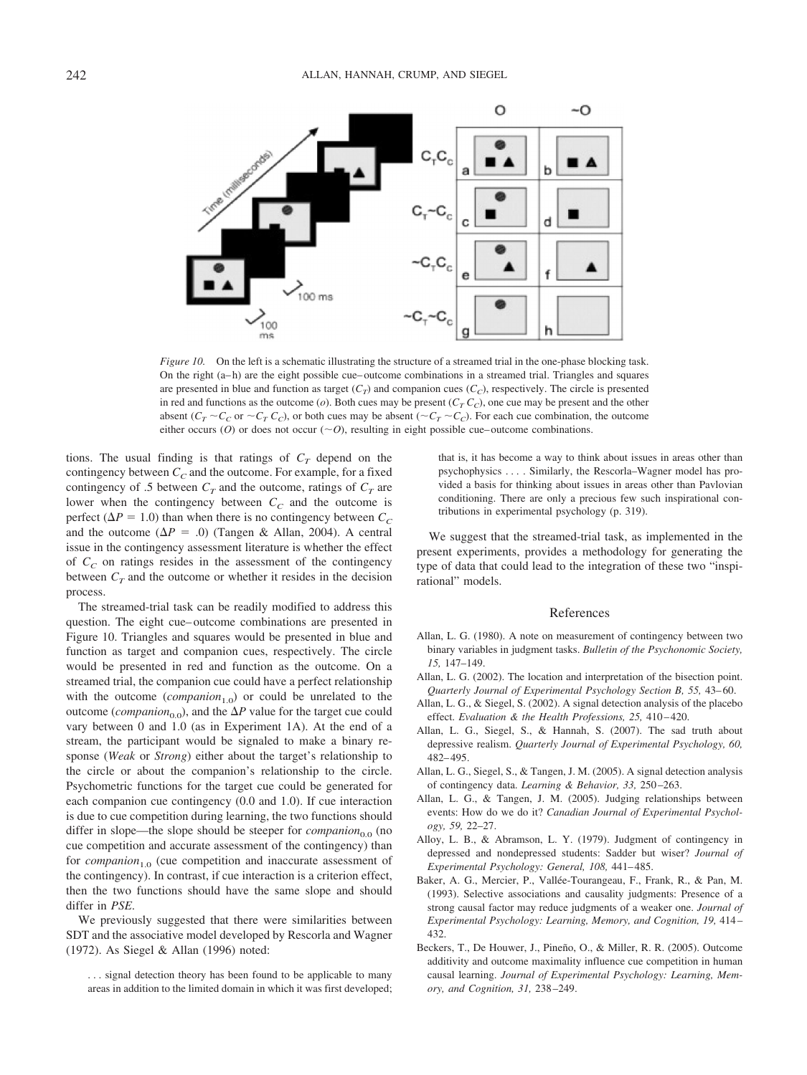

*Figure 10.* On the left is a schematic illustrating the structure of a streamed trial in the one-phase blocking task. On the right (a– h) are the eight possible cue– outcome combinations in a streamed trial. Triangles and squares are presented in blue and function as target  $(C_T)$  and companion cues  $(C_C)$ , respectively. The circle is presented in red and functions as the outcome  $(o)$ . Both cues may be present  $(C<sub>T</sub> C<sub>C</sub>)$ , one cue may be present and the other absent  $(C_T \sim C_C$  or  $\sim C_T C_C$ ), or both cues may be absent  $(\sim C_T \sim C_C)$ . For each cue combination, the outcome either occurs (*O*) or does not occur ( $\sim$ *O*), resulting in eight possible cue–outcome combinations.

tions. The usual finding is that ratings of  $C_T$  depend on the contingency between  $C_C$  and the outcome. For example, for a fixed contingency of .5 between  $C_T$  and the outcome, ratings of  $C_T$  are lower when the contingency between  $C_C$  and the outcome is perfect ( $\Delta P = 1.0$ ) than when there is no contingency between  $C_C$ and the outcome ( $\Delta P = .0$ ) (Tangen & Allan, 2004). A central issue in the contingency assessment literature is whether the effect of  $C<sub>C</sub>$  on ratings resides in the assessment of the contingency between  $C_T$  and the outcome or whether it resides in the decision process.

The streamed-trial task can be readily modified to address this question. The eight cue– outcome combinations are presented in Figure 10. Triangles and squares would be presented in blue and function as target and companion cues, respectively. The circle would be presented in red and function as the outcome. On a streamed trial, the companion cue could have a perfect relationship with the outcome  $(companion_{1,0})$  or could be unrelated to the outcome (*companion*<sub>0.0</sub>), and the  $\Delta P$  value for the target cue could vary between 0 and 1.0 (as in Experiment 1A). At the end of a stream, the participant would be signaled to make a binary response (*Weak* or *Strong*) either about the target's relationship to the circle or about the companion's relationship to the circle. Psychometric functions for the target cue could be generated for each companion cue contingency (0.0 and 1.0). If cue interaction is due to cue competition during learning, the two functions should differ in slope—the slope should be steeper for  $companion<sub>0.0</sub>$  (no cue competition and accurate assessment of the contingency) than for *companion*<sub>1.0</sub> (cue competition and inaccurate assessment of the contingency). In contrast, if cue interaction is a criterion effect, then the two functions should have the same slope and should differ in *PSE*.

We previously suggested that there were similarities between SDT and the associative model developed by Rescorla and Wagner (1972). As Siegel & Allan (1996) noted:

. . . signal detection theory has been found to be applicable to many areas in addition to the limited domain in which it was first developed; that is, it has become a way to think about issues in areas other than psychophysics . . . . Similarly, the Rescorla–Wagner model has provided a basis for thinking about issues in areas other than Pavlovian conditioning. There are only a precious few such inspirational contributions in experimental psychology (p. 319).

We suggest that the streamed-trial task, as implemented in the present experiments, provides a methodology for generating the type of data that could lead to the integration of these two "inspirational" models.

## References

- Allan, L. G. (1980). A note on measurement of contingency between two binary variables in judgment tasks. *Bulletin of the Psychonomic Society, 15,* 147–149.
- Allan, L. G. (2002). The location and interpretation of the bisection point. *Quarterly Journal of Experimental Psychology Section B, 55,* 43– 60.
- Allan, L. G., & Siegel, S. (2002). A signal detection analysis of the placebo effect. *Evaluation & the Health Professions*, 25, 410-420.
- Allan, L. G., Siegel, S., & Hannah, S. (2007). The sad truth about depressive realism. *Quarterly Journal of Experimental Psychology, 60,* 482– 495.
- Allan, L. G., Siegel, S., & Tangen, J. M. (2005). A signal detection analysis of contingency data. *Learning & Behavior, 33,* 250 –263.
- Allan, L. G., & Tangen, J. M. (2005). Judging relationships between events: How do we do it? *Canadian Journal of Experimental Psychology, 59,* 22–27.
- Alloy, L. B., & Abramson, L. Y. (1979). Judgment of contingency in depressed and nondepressed students: Sadder but wiser? *Journal of Experimental Psychology: General, 108,* 441– 485.
- Baker, A. G., Mercier, P., Vallée-Tourangeau, F., Frank, R., & Pan, M. (1993). Selective associations and causality judgments: Presence of a strong causal factor may reduce judgments of a weaker one. *Journal of Experimental Psychology: Learning, Memory, and Cognition, 19,* 414 – 432.
- Beckers, T., De Houwer, J., Pineño, O., & Miller, R. R. (2005). Outcome additivity and outcome maximality influence cue competition in human causal learning. *Journal of Experimental Psychology: Learning, Memory, and Cognition, 31,* 238 –249.